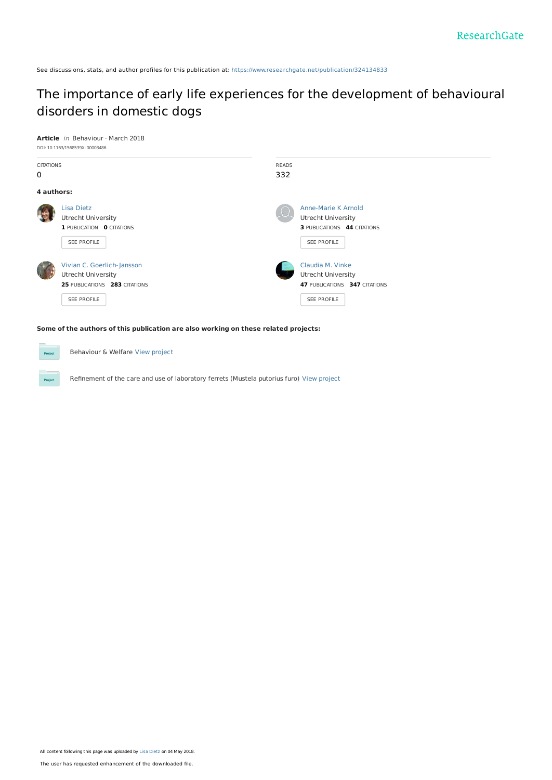See discussions, stats, and author profiles for this publication at: [https://www.researchgate.net/publication/324134833](https://www.researchgate.net/publication/324134833_The_importance_of_early_life_experiences_for_the_development_of_behavioural_disorders_in_domestic_dogs?enrichId=rgreq-16cb6164c9f150871466755917ef1841-XXX&enrichSource=Y292ZXJQYWdlOzMyNDEzNDgzMztBUzo2MjI0NzIwODkwNDI5NDRAMTUyNTQyMDMxOTE4Nw%3D%3D&el=1_x_2&_esc=publicationCoverPdf)

# The importance of early life experiences for the [development](https://www.researchgate.net/publication/324134833_The_importance_of_early_life_experiences_for_the_development_of_behavioural_disorders_in_domestic_dogs?enrichId=rgreq-16cb6164c9f150871466755917ef1841-XXX&enrichSource=Y292ZXJQYWdlOzMyNDEzNDgzMztBUzo2MjI0NzIwODkwNDI5NDRAMTUyNTQyMDMxOTE4Nw%3D%3D&el=1_x_3&_esc=publicationCoverPdf) of behavioural disorders in domestic dogs



Proj

Behaviour & Welfare View [project](https://www.researchgate.net/project/Behaviour-Welfare?enrichId=rgreq-16cb6164c9f150871466755917ef1841-XXX&enrichSource=Y292ZXJQYWdlOzMyNDEzNDgzMztBUzo2MjI0NzIwODkwNDI5NDRAMTUyNTQyMDMxOTE4Nw%3D%3D&el=1_x_9&_esc=publicationCoverPdf)

Refinement of the care and use of laboratory ferrets (Mustela putorius furo) View [project](https://www.researchgate.net/project/Refinement-of-the-care-and-use-of-laboratory-ferrets-Mustela-putorius-furo?enrichId=rgreq-16cb6164c9f150871466755917ef1841-XXX&enrichSource=Y292ZXJQYWdlOzMyNDEzNDgzMztBUzo2MjI0NzIwODkwNDI5NDRAMTUyNTQyMDMxOTE4Nw%3D%3D&el=1_x_9&_esc=publicationCoverPdf)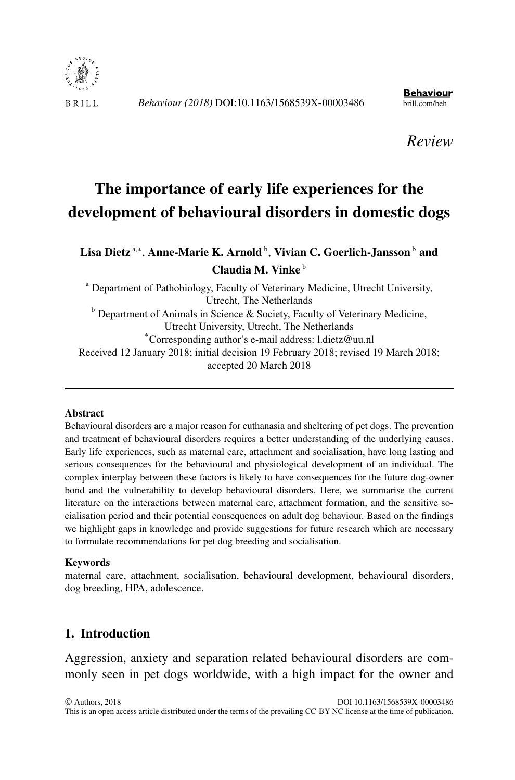

**Behaviour** 

*Review*

# **The importance of early life experiences for the development of behavioural disorders in domestic dogs**

## **Lisa Dietz** <sup>a</sup>*,*<sup>∗</sup> , **Anne-Marie K. Arnold** <sup>b</sup> , **Vivian C. Goerlich-Jansson** <sup>b</sup> **and Claudia M. Vinke** <sup>b</sup>

<sup>a</sup> Department of Pathobiology, Faculty of Veterinary Medicine, Utrecht University, Utrecht, The Netherlands  $b$  Department of Animals in Science & Society, Faculty of Veterinary Medicine,<br>Utrecht University, Utrecht, The Netherlands \*Corresponding author's e-mail address: [l.dietz@uu.nl](mailto:l.dietz@uu.nl) Received 12 January 2018; initial decision 19 February 2018; revised 19 March 2018; accepted 20 March 2018

#### **Abstract**

Behavioural disorders are a major reason for euthanasia and sheltering of pet dogs. The prevention and treatment of behavioural disorders requires a better understanding of the underlying causes. Early life experiences, such as maternal care, attachment and socialisation, have long lasting and serious consequences for the behavioural and physiological development of an individual. The complex interplay between these factors is likely to have consequences for the future dog-owner bond and the vulnerability to develop behavioural disorders. Here, we summarise the current literature on the interactions between maternal care, attachment formation, and the sensitive socialisation period and their potential consequences on adult dog behaviour. Based on the findings we highlight gaps in knowledge and provide suggestions for future research which are necessary to formulate recommendations for pet dog breeding and socialisation.

#### **Keywords**

maternal care, attachment, socialisation, behavioural development, behavioural disorders, dog breeding, HPA, adolescence.

## **1. Introduction**

Aggression, anxiety and separation related behavioural disorders are commonly seen in pet dogs worldwide, with a high impact for the owner and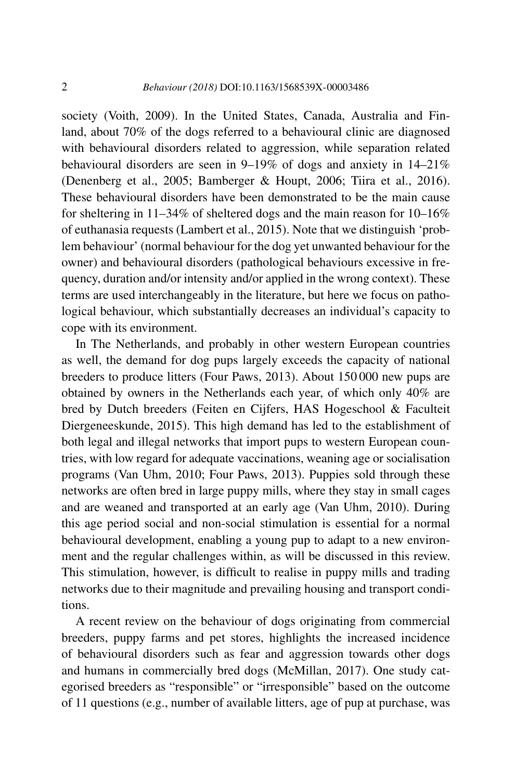society (Voith, 2009). In the United States, Canada, Australia and Finland, about 70% of the dogs referred to a behavioural clinic are diagnosed with behavioural disorders related to aggression, while separation related behavioural disorders are seen in 9–19% of dogs and anxiety in 14–21% (Denenberg et al., 2005; Bamberger & Houpt, 2006; Tiira et al., 2016). These behavioural disorders have been demonstrated to be the main cause for sheltering in 11–34% of sheltered dogs and the main reason for 10–16% of euthanasia requests (Lambert et al., 2015). Note that we distinguish 'problem behaviour' (normal behaviour for the dog yet unwanted behaviour for the owner) and behavioural disorders (pathological behaviours excessive in frequency, duration and/or intensity and/or applied in the wrong context). These terms are used interchangeably in the literature, but here we focus on pathological behaviour, which substantially decreases an individual's capacity to cope with its environment.

In The Netherlands, and probably in other western European countries as well, the demand for dog pups largely exceeds the capacity of national breeders to produce litters (Four Paws, 2013). About 150 000 new pups are obtained by owners in the Netherlands each year, of which only 40% are bred by Dutch breeders (Feiten en Cijfers, HAS Hogeschool & Faculteit Diergeneeskunde, 2015). This high demand has led to the establishment of both legal and illegal networks that import pups to western European countries, with low regard for adequate vaccinations, weaning age or socialisation programs (Van Uhm, 2010; Four Paws, 2013). Puppies sold through these networks are often bred in large puppy mills, where they stay in small cages and are weaned and transported at an early age (Van Uhm, 2010). During this age period social and non-social stimulation is essential for a normal behavioural development, enabling a young pup to adapt to a new environment and the regular challenges within, as will be discussed in this review. This stimulation, however, is difficult to realise in puppy mills and trading networks due to their magnitude and prevailing housing and transport conditions.

A recent review on the behaviour of dogs originating from commercial breeders, puppy farms and pet stores, highlights the increased incidence of behavioural disorders such as fear and aggression towards other dogs and humans in commercially bred dogs (McMillan, 2017). One study categorised breeders as "responsible" or "irresponsible" based on the outcome of 11 questions (e.g., number of available litters, age of pup at purchase, was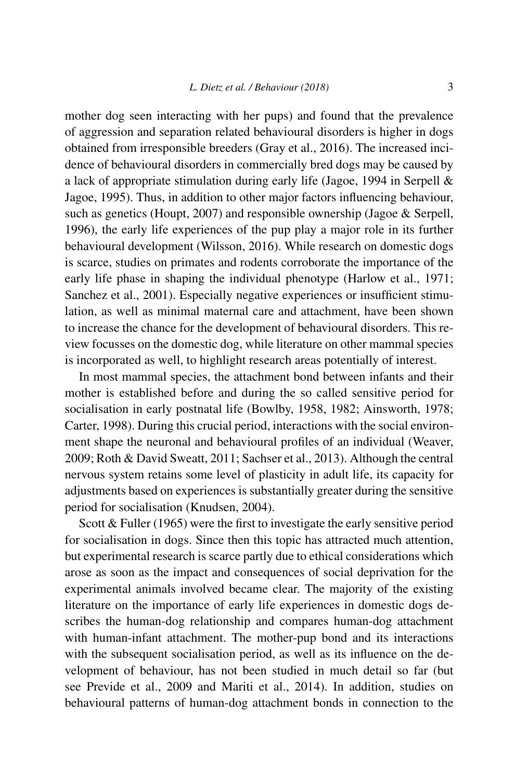mother dog seen interacting with her pups) and found that the prevalence of aggression and separation related behavioural disorders is higher in dogs obtained from irresponsible breeders (Gray et al., 2016). The increased incidence of behavioural disorders in commercially bred dogs may be caused by a lack of appropriate stimulation during early life (Jagoe, 1994 in Serpell & Jagoe, 1995). Thus, in addition to other major factors influencing behaviour, such as genetics (Houpt, 2007) and responsible ownership (Jagoe & Serpell, 1996), the early life experiences of the pup play a major role in its further behavioural development (Wilsson, 2016). While research on domestic dogs is scarce, studies on primates and rodents corroborate the importance of the early life phase in shaping the individual phenotype (Harlow et al., 1971; Sanchez et al., 2001). Especially negative experiences or insufficient stimulation, as well as minimal maternal care and attachment, have been shown to increase the chance for the development of behavioural disorders. This review focusses on the domestic dog, while literature on other mammal species is incorporated as well, to highlight research areas potentially of interest.

In most mammal species, the attachment bond between infants and their mother is established before and during the so called sensitive period for socialisation in early postnatal life (Bowlby, 1958, 1982; Ainsworth, 1978; Carter, 1998). During this crucial period, interactions with the social environment shape the neuronal and behavioural profiles of an individual (Weaver, 2009; Roth & David Sweatt, 2011; Sachser et al., 2013). Although the central nervous system retains some level of plasticity in adult life, its capacity for adjustments based on experiences is substantially greater during the sensitive period for socialisation (Knudsen, 2004).

Scott & Fuller (1965) were the first to investigate the early sensitive period for socialisation in dogs. Since then this topic has attracted much attention, but experimental research is scarce partly due to ethical considerations which arose as soon as the impact and consequences of social deprivation for the experimental animals involved became clear. The majority of the existing literature on the importance of early life experiences in domestic dogs describes the human-dog relationship and compares human-dog attachment with human-infant attachment. The mother-pup bond and its interactions with the subsequent socialisation period, as well as its influence on the development of behaviour, has not been studied in much detail so far (but see Previde et al., 2009 and Mariti et al., 2014). In addition, studies on behavioural patterns of human-dog attachment bonds in connection to the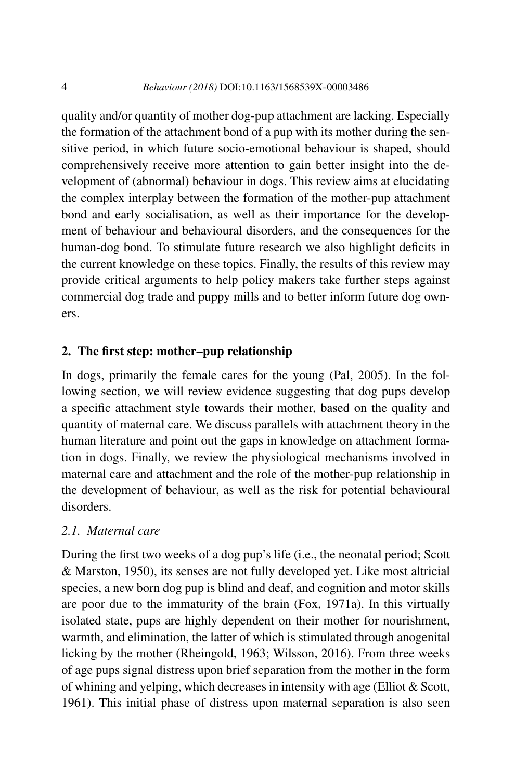quality and/or quantity of mother dog-pup attachment are lacking. Especially the formation of the attachment bond of a pup with its mother during the sensitive period, in which future socio-emotional behaviour is shaped, should comprehensively receive more attention to gain better insight into the development of (abnormal) behaviour in dogs. This review aims at elucidating the complex interplay between the formation of the mother-pup attachment bond and early socialisation, as well as their importance for the development of behaviour and behavioural disorders, and the consequences for the human-dog bond. To stimulate future research we also highlight deficits in the current knowledge on these topics. Finally, the results of this review may provide critical arguments to help policy makers take further steps against commercial dog trade and puppy mills and to better inform future dog owners.

## **2. The first step: mother–pup relationship**

In dogs, primarily the female cares for the young (Pal, 2005). In the following section, we will review evidence suggesting that dog pups develop a specific attachment style towards their mother, based on the quality and quantity of maternal care. We discuss parallels with attachment theory in the human literature and point out the gaps in knowledge on attachment formation in dogs. Finally, we review the physiological mechanisms involved in maternal care and attachment and the role of the mother-pup relationship in the development of behaviour, as well as the risk for potential behavioural disorders.

#### *2.1. Maternal care*

During the first two weeks of a dog pup's life (i.e., the neonatal period; Scott & Marston, 1950), its senses are not fully developed yet. Like most altricial species, a new born dog pup is blind and deaf, and cognition and motor skills are poor due to the immaturity of the brain (Fox, 1971a). In this virtually isolated state, pups are highly dependent on their mother for nourishment, warmth, and elimination, the latter of which is stimulated through anogenital licking by the mother (Rheingold, 1963; Wilsson, 2016). From three weeks of age pups signal distress upon brief separation from the mother in the form of whining and yelping, which decreases in intensity with age (Elliot & Scott, 1961). This initial phase of distress upon maternal separation is also seen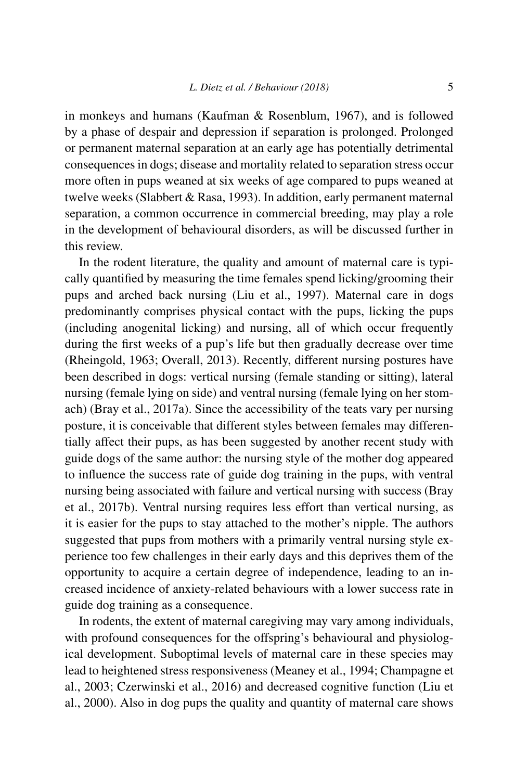in monkeys and humans (Kaufman & Rosenblum, 1967), and is followed by a phase of despair and depression if separation is prolonged. Prolonged or permanent maternal separation at an early age has potentially detrimental consequences in dogs; disease and mortality related to separation stress occur more often in pups weaned at six weeks of age compared to pups weaned at twelve weeks (Slabbert & Rasa, 1993). In addition, early permanent maternal separation, a common occurrence in commercial breeding, may play a role in the development of behavioural disorders, as will be discussed further in this review.

In the rodent literature, the quality and amount of maternal care is typically quantified by measuring the time females spend licking/grooming their pups and arched back nursing (Liu et al., 1997). Maternal care in dogs predominantly comprises physical contact with the pups, licking the pups (including anogenital licking) and nursing, all of which occur frequently during the first weeks of a pup's life but then gradually decrease over time (Rheingold, 1963; Overall, 2013). Recently, different nursing postures have been described in dogs: vertical nursing (female standing or sitting), lateral nursing (female lying on side) and ventral nursing (female lying on her stomach) (Bray et al., 2017a). Since the accessibility of the teats vary per nursing posture, it is conceivable that different styles between females may differentially affect their pups, as has been suggested by another recent study with guide dogs of the same author: the nursing style of the mother dog appeared to influence the success rate of guide dog training in the pups, with ventral nursing being associated with failure and vertical nursing with success (Bray et al., 2017b). Ventral nursing requires less effort than vertical nursing, as it is easier for the pups to stay attached to the mother's nipple. The authors suggested that pups from mothers with a primarily ventral nursing style experience too few challenges in their early days and this deprives them of the opportunity to acquire a certain degree of independence, leading to an increased incidence of anxiety-related behaviours with a lower success rate in guide dog training as a consequence.

In rodents, the extent of maternal caregiving may vary among individuals, with profound consequences for the offspring's behavioural and physiological development. Suboptimal levels of maternal care in these species may lead to heightened stress responsiveness (Meaney et al., 1994; Champagne et al., 2003; Czerwinski et al., 2016) and decreased cognitive function (Liu et al., 2000). Also in dog pups the quality and quantity of maternal care shows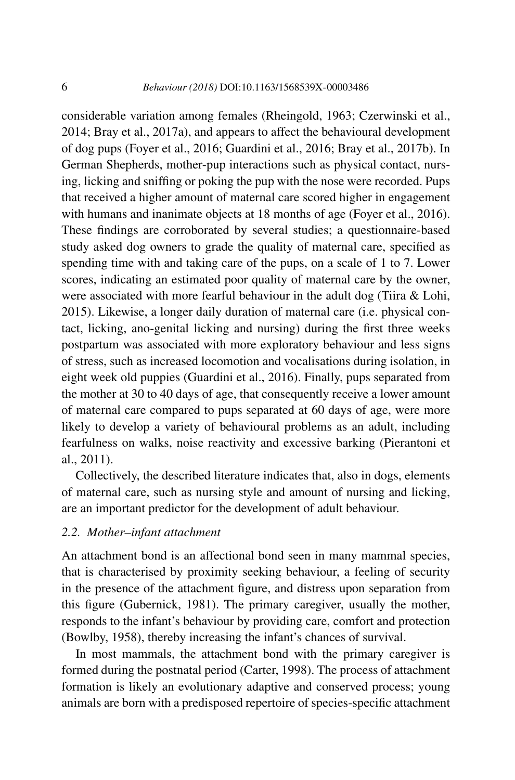considerable variation among females (Rheingold, 1963; Czerwinski et al., 2014; Bray et al., 2017a), and appears to affect the behavioural development of dog pups (Foyer et al., 2016; Guardini et al., 2016; Bray et al., 2017b). In German Shepherds, mother-pup interactions such as physical contact, nursing, licking and sniffing or poking the pup with the nose were recorded. Pups that received a higher amount of maternal care scored higher in engagement with humans and inanimate objects at 18 months of age (Foyer et al., 2016). These findings are corroborated by several studies; a questionnaire-based study asked dog owners to grade the quality of maternal care, specified as spending time with and taking care of the pups, on a scale of 1 to 7. Lower scores, indicating an estimated poor quality of maternal care by the owner, were associated with more fearful behaviour in the adult dog (Tiira & Lohi, 2015). Likewise, a longer daily duration of maternal care (i.e. physical contact, licking, ano-genital licking and nursing) during the first three weeks postpartum was associated with more exploratory behaviour and less signs of stress, such as increased locomotion and vocalisations during isolation, in eight week old puppies (Guardini et al., 2016). Finally, pups separated from the mother at 30 to 40 days of age, that consequently receive a lower amount of maternal care compared to pups separated at 60 days of age, were more likely to develop a variety of behavioural problems as an adult, including fearfulness on walks, noise reactivity and excessive barking (Pierantoni et al., 2011).

Collectively, the described literature indicates that, also in dogs, elements of maternal care, such as nursing style and amount of nursing and licking, are an important predictor for the development of adult behaviour.

## *2.2. Mother–infant attachment*

An attachment bond is an affectional bond seen in many mammal species, that is characterised by proximity seeking behaviour, a feeling of security in the presence of the attachment figure, and distress upon separation from this figure (Gubernick, 1981). The primary caregiver, usually the mother, responds to the infant's behaviour by providing care, comfort and protection (Bowlby, 1958), thereby increasing the infant's chances of survival.

In most mammals, the attachment bond with the primary caregiver is formed during the postnatal period (Carter, 1998). The process of attachment formation is likely an evolutionary adaptive and conserved process; young animals are born with a predisposed repertoire of species-specific attachment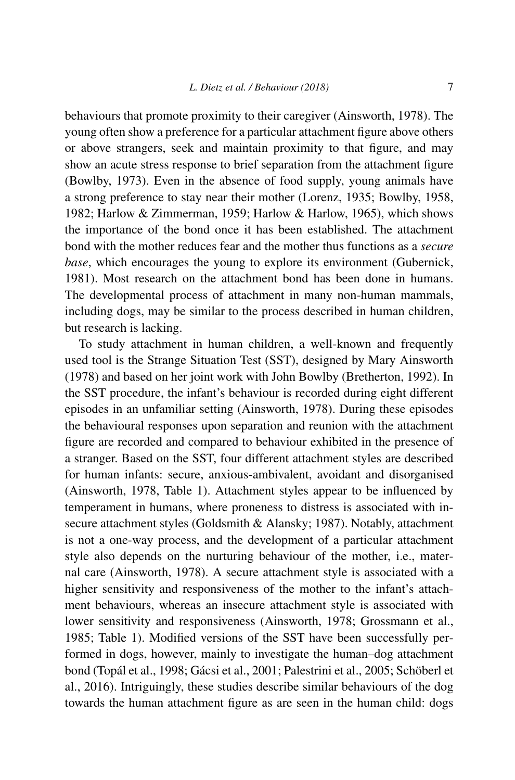behaviours that promote proximity to their caregiver (Ainsworth, 1978). The young often show a preference for a particular attachment figure above others or above strangers, seek and maintain proximity to that figure, and may show an acute stress response to brief separation from the attachment figure (Bowlby, 1973). Even in the absence of food supply, young animals have a strong preference to stay near their mother (Lorenz, 1935; Bowlby, 1958, 1982; Harlow & Zimmerman, 1959; Harlow & Harlow, 1965), which shows the importance of the bond once it has been established. The attachment bond with the mother reduces fear and the mother thus functions as a *secure base*, which encourages the young to explore its environment (Gubernick, 1981). Most research on the attachment bond has been done in humans. The developmental process of attachment in many non-human mammals, including dogs, may be similar to the process described in human children, but research is lacking.

To study attachment in human children, a well-known and frequently used tool is the Strange Situation Test (SST), designed by Mary Ainsworth (1978) and based on her joint work with John Bowlby (Bretherton, 1992). In the SST procedure, the infant's behaviour is recorded during eight different episodes in an unfamiliar setting (Ainsworth, 1978). During these episodes the behavioural responses upon separation and reunion with the attachment figure are recorded and compared to behaviour exhibited in the presence of a stranger. Based on the SST, four different attachment styles are described for human infants: secure, anxious-ambivalent, avoidant and disorganised (Ainsworth, 1978, Table 1). Attachment styles appear to be influenced by temperament in humans, where proneness to distress is associated with insecure attachment styles (Goldsmith & Alansky; 1987). Notably, attachment is not a one-way process, and the development of a particular attachment style also depends on the nurturing behaviour of the mother, i.e., maternal care (Ainsworth, 1978). A secure attachment style is associated with a higher sensitivity and responsiveness of the mother to the infant's attachment behaviours, whereas an insecure attachment style is associated with lower sensitivity and responsiveness (Ainsworth, 1978; Grossmann et al., 1985; Table 1). Modified versions of the SST have been successfully performed in dogs, however, mainly to investigate the human–dog attachment bond (Topál et al., 1998; Gácsi et al., 2001; Palestrini et al., 2005; Schöberl et al., 2016). Intriguingly, these studies describe similar behaviours of the dog towards the human attachment figure as are seen in the human child: dogs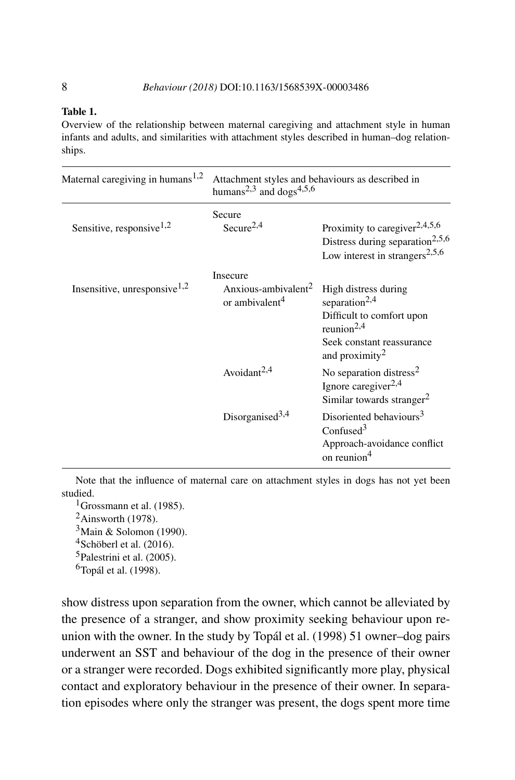#### **Table 1.**

Overview of the relationship between maternal caregiving and attachment style in human infants and adults, and similarities with attachment styles described in human–dog relationships.

| Maternal caregiving in humans $1,2$  | Attachment styles and behaviours as described in<br>humans <sup>2,3</sup> and dogs <sup>4,5,6</sup> |                                                                                                                                                            |
|--------------------------------------|-----------------------------------------------------------------------------------------------------|------------------------------------------------------------------------------------------------------------------------------------------------------------|
| Sensitive, responsive <sup>1,2</sup> | Secure<br>Secure <sup>2,4</sup>                                                                     | Proximity to caregiver <sup>2,4,5,6</sup><br>Distress during separation <sup>2,5,6</sup><br>Low interest in strangers <sup>2,5,6</sup>                     |
| Insensitive, unresponsive $1,2$      | Insecure<br>Anxious-ambivalent <sup>2</sup><br>or ambivalent <sup>4</sup>                           | High distress during<br>separation <sup>2,4</sup><br>Difficult to comfort upon<br>reunion $2,4$<br>Seek constant reassurance<br>and proximity <sup>2</sup> |
|                                      | Avoidant $2,4$                                                                                      | No separation distress <sup>2</sup><br>Ignore caregiver $2,4$<br>Similar towards stranger <sup>2</sup>                                                     |
|                                      | Disorganised <sup>3,4</sup>                                                                         | Disoriented behaviours <sup>3</sup><br>Confused <sup>3</sup><br>Approach-avoidance conflict<br>on reunion <sup>4</sup>                                     |

Note that the influence of maternal care on attachment styles in dogs has not yet been studied.

<sup>1</sup>Grossmann et al. (1985).

 $2$ Ainsworth (1978).

 $3$ Main & Solomon (1990).

<sup>4</sup>Schöberl et al. (2016).

5Palestrini et al. (2005).

 $6$ Topál et al. (1998).

show distress upon separation from the owner, which cannot be alleviated by the presence of a stranger, and show proximity seeking behaviour upon reunion with the owner. In the study by Topál et al. (1998) 51 owner–dog pairs underwent an SST and behaviour of the dog in the presence of their owner or a stranger were recorded. Dogs exhibited significantly more play, physical contact and exploratory behaviour in the presence of their owner. In separation episodes where only the stranger was present, the dogs spent more time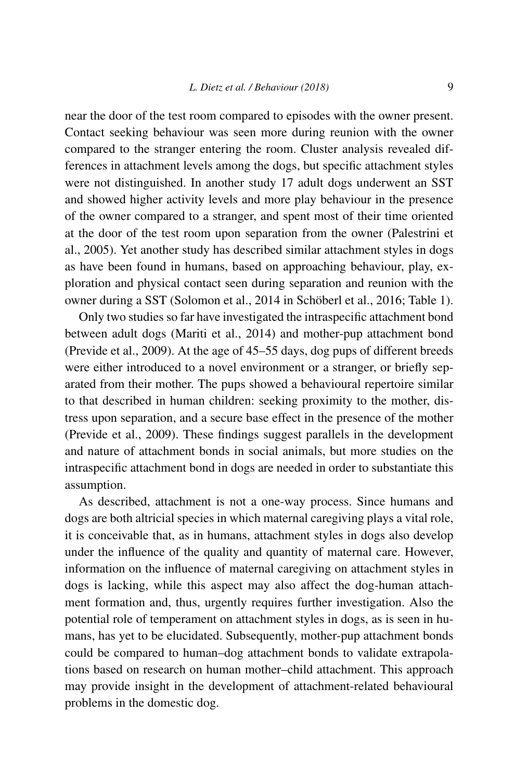near the door of the test room compared to episodes with the owner present. Contact seeking behaviour was seen more during reunion with the owner compared to the stranger entering the room. Cluster analysis revealed differences in attachment levels among the dogs, but specific attachment styles were not distinguished. In another study 17 adult dogs underwent an SST and showed higher activity levels and more play behaviour in the presence of the owner compared to a stranger, and spent most of their time oriented at the door of the test room upon separation from the owner (Palestrini et al., 2005). Yet another study has described similar attachment styles in dogs as have been found in humans, based on approaching behaviour, play, exploration and physical contact seen during separation and reunion with the owner during a SST (Solomon et al., 2014 in Schöberl et al., 2016; Table 1).

Only two studies so far have investigated the intraspecific attachment bond between adult dogs (Mariti et al., 2014) and mother-pup attachment bond (Previde et al., 2009). At the age of 45–55 days, dog pups of different breeds were either introduced to a novel environment or a stranger, or briefly separated from their mother. The pups showed a behavioural repertoire similar to that described in human children: seeking proximity to the mother, distress upon separation, and a secure base effect in the presence of the mother (Previde et al., 2009). These findings suggest parallels in the development and nature of attachment bonds in social animals, but more studies on the intraspecific attachment bond in dogs are needed in order to substantiate this assumption.

As described, attachment is not a one-way process. Since humans and dogs are both altricial species in which maternal caregiving plays a vital role, it is conceivable that, as in humans, attachment styles in dogs also develop under the influence of the quality and quantity of maternal care. However, information on the influence of maternal caregiving on attachment styles in dogs is lacking, while this aspect may also affect the dog-human attachment formation and, thus, urgently requires further investigation. Also the potential role of temperament on attachment styles in dogs, as is seen in humans, has yet to be elucidated. Subsequently, mother-pup attachment bonds could be compared to human–dog attachment bonds to validate extrapolations based on research on human mother–child attachment. This approach may provide insight in the development of attachment-related behavioural problems in the domestic dog.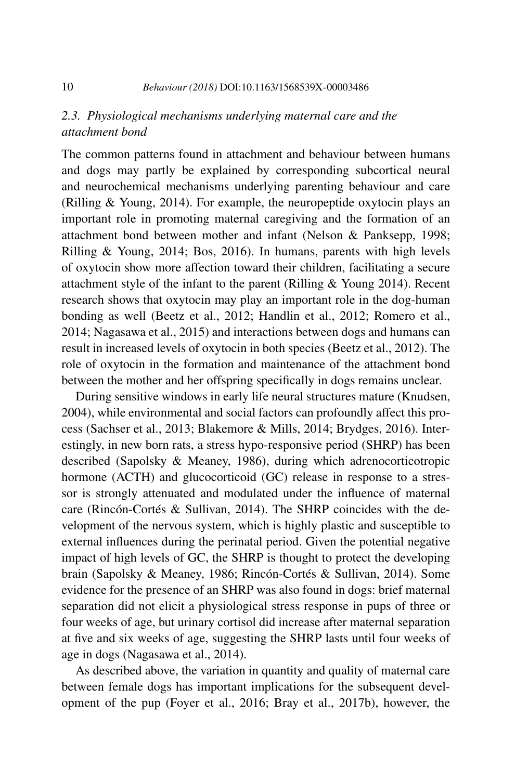## *2.3. Physiological mechanisms underlying maternal care and the attachment bond*

The common patterns found in attachment and behaviour between humans and dogs may partly be explained by corresponding subcortical neural and neurochemical mechanisms underlying parenting behaviour and care (Rilling & Young, 2014). For example, the neuropeptide oxytocin plays an important role in promoting maternal caregiving and the formation of an attachment bond between mother and infant (Nelson & Panksepp, 1998; Rilling & Young, 2014; Bos, 2016). In humans, parents with high levels of oxytocin show more affection toward their children, facilitating a secure attachment style of the infant to the parent (Rilling & Young 2014). Recent research shows that oxytocin may play an important role in the dog-human bonding as well (Beetz et al., 2012; Handlin et al., 2012; Romero et al., 2014; Nagasawa et al., 2015) and interactions between dogs and humans can result in increased levels of oxytocin in both species (Beetz et al., 2012). The role of oxytocin in the formation and maintenance of the attachment bond between the mother and her offspring specifically in dogs remains unclear.

During sensitive windows in early life neural structures mature (Knudsen, 2004), while environmental and social factors can profoundly affect this process (Sachser et al., 2013; Blakemore & Mills, 2014; Brydges, 2016). Interestingly, in new born rats, a stress hypo-responsive period (SHRP) has been described (Sapolsky & Meaney, 1986), during which adrenocorticotropic hormone (ACTH) and glucocorticoid (GC) release in response to a stressor is strongly attenuated and modulated under the influence of maternal care (Rincón-Cortés & Sullivan, 2014). The SHRP coincides with the development of the nervous system, which is highly plastic and susceptible to external influences during the perinatal period. Given the potential negative impact of high levels of GC, the SHRP is thought to protect the developing brain (Sapolsky & Meaney, 1986; Rincón-Cortés & Sullivan, 2014). Some evidence for the presence of an SHRP was also found in dogs: brief maternal separation did not elicit a physiological stress response in pups of three or four weeks of age, but urinary cortisol did increase after maternal separation at five and six weeks of age, suggesting the SHRP lasts until four weeks of age in dogs (Nagasawa et al., 2014).

As described above, the variation in quantity and quality of maternal care between female dogs has important implications for the subsequent development of the pup (Foyer et al., 2016; Bray et al., 2017b), however, the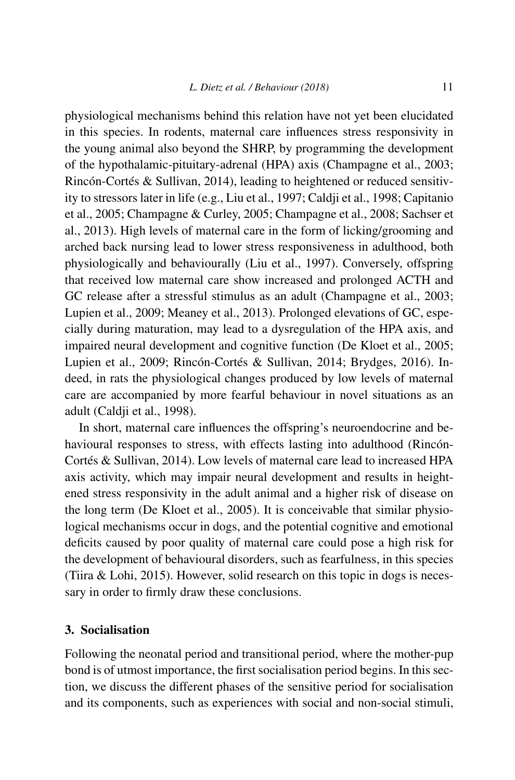physiological mechanisms behind this relation have not yet been elucidated in this species. In rodents, maternal care influences stress responsivity in the young animal also beyond the SHRP, by programming the development of the hypothalamic-pituitary-adrenal (HPA) axis (Champagne et al., 2003; Rincón-Cortés & Sullivan, 2014), leading to heightened or reduced sensitivity to stressors later in life (e.g., Liu et al., 1997; Caldji et al., 1998; Capitanio et al., 2005; Champagne & Curley, 2005; Champagne et al., 2008; Sachser et al., 2013). High levels of maternal care in the form of licking/grooming and arched back nursing lead to lower stress responsiveness in adulthood, both physiologically and behaviourally (Liu et al., 1997). Conversely, offspring that received low maternal care show increased and prolonged ACTH and GC release after a stressful stimulus as an adult (Champagne et al., 2003; Lupien et al., 2009; Meaney et al., 2013). Prolonged elevations of GC, especially during maturation, may lead to a dysregulation of the HPA axis, and impaired neural development and cognitive function (De Kloet et al., 2005; Lupien et al., 2009; Rincón-Cortés & Sullivan, 2014; Brydges, 2016). Indeed, in rats the physiological changes produced by low levels of maternal care are accompanied by more fearful behaviour in novel situations as an adult (Caldji et al., 1998).

In short, maternal care influences the offspring's neuroendocrine and behavioural responses to stress, with effects lasting into adulthood (Rincón-Cortés & Sullivan, 2014). Low levels of maternal care lead to increased HPA axis activity, which may impair neural development and results in heightened stress responsivity in the adult animal and a higher risk of disease on the long term (De Kloet et al., 2005). It is conceivable that similar physiological mechanisms occur in dogs, and the potential cognitive and emotional deficits caused by poor quality of maternal care could pose a high risk for the development of behavioural disorders, such as fearfulness, in this species (Tiira & Lohi, 2015). However, solid research on this topic in dogs is necessary in order to firmly draw these conclusions.

### **3. Socialisation**

Following the neonatal period and transitional period, where the mother-pup bond is of utmost importance, the first socialisation period begins. In this section, we discuss the different phases of the sensitive period for socialisation and its components, such as experiences with social and non-social stimuli,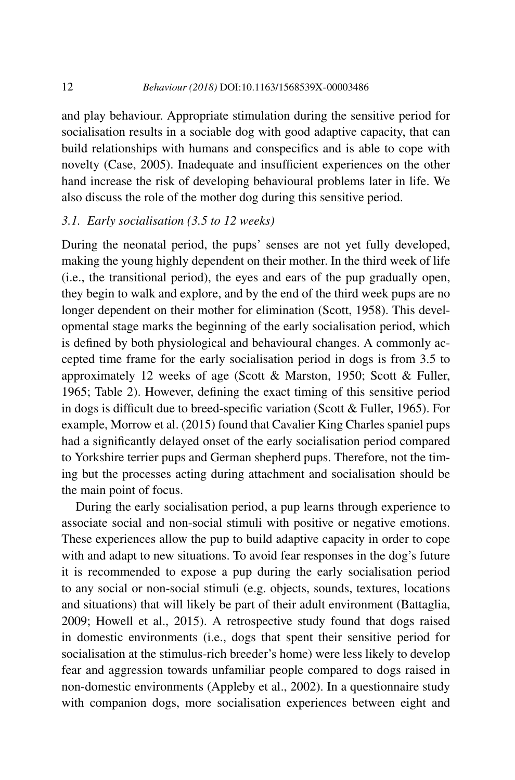and play behaviour. Appropriate stimulation during the sensitive period for socialisation results in a sociable dog with good adaptive capacity, that can build relationships with humans and conspecifics and is able to cope with novelty (Case, 2005). Inadequate and insufficient experiences on the other hand increase the risk of developing behavioural problems later in life. We also discuss the role of the mother dog during this sensitive period.

## *3.1. Early socialisation (3.5 to 12 weeks)*

During the neonatal period, the pups' senses are not yet fully developed, making the young highly dependent on their mother. In the third week of life (i.e., the transitional period), the eyes and ears of the pup gradually open, they begin to walk and explore, and by the end of the third week pups are no longer dependent on their mother for elimination (Scott, 1958). This developmental stage marks the beginning of the early socialisation period, which is defined by both physiological and behavioural changes. A commonly accepted time frame for the early socialisation period in dogs is from 3.5 to approximately 12 weeks of age (Scott & Marston, 1950; Scott & Fuller, 1965; Table 2). However, defining the exact timing of this sensitive period in dogs is difficult due to breed-specific variation (Scott & Fuller, 1965). For example, Morrow et al. (2015) found that Cavalier King Charles spaniel pups had a significantly delayed onset of the early socialisation period compared to Yorkshire terrier pups and German shepherd pups. Therefore, not the timing but the processes acting during attachment and socialisation should be the main point of focus.

During the early socialisation period, a pup learns through experience to associate social and non-social stimuli with positive or negative emotions. These experiences allow the pup to build adaptive capacity in order to cope with and adapt to new situations. To avoid fear responses in the dog's future it is recommended to expose a pup during the early socialisation period to any social or non-social stimuli (e.g. objects, sounds, textures, locations and situations) that will likely be part of their adult environment (Battaglia, 2009; Howell et al., 2015). A retrospective study found that dogs raised in domestic environments (i.e., dogs that spent their sensitive period for socialisation at the stimulus-rich breeder's home) were less likely to develop fear and aggression towards unfamiliar people compared to dogs raised in non-domestic environments (Appleby et al., 2002). In a questionnaire study with companion dogs, more socialisation experiences between eight and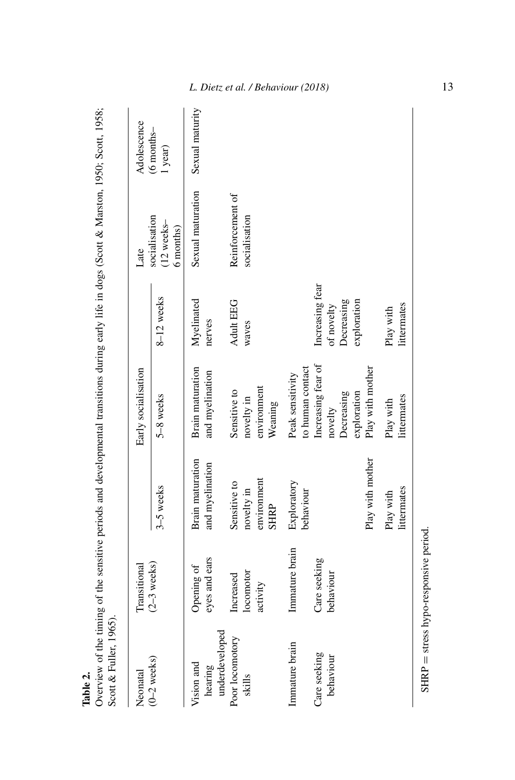| Table 2. |  |
|----------|--|

Overview of the timing of the sensitive periods and developmental transitions during early life in dogs (Scott & Marston, 1950; Scott, 1958; Scott & Fuller, 1965). Overview of the timing of the sensitive periods and developmental transitions during early life in dogs (Scott & Marston, 1950; Scott, 1958; Scott & Fuller, 1965).

| Neonatal                                | Transitional                       |                                                          | Early socialisation                                                            |                                                          | Late                                       | Adolescence           |
|-----------------------------------------|------------------------------------|----------------------------------------------------------|--------------------------------------------------------------------------------|----------------------------------------------------------|--------------------------------------------|-----------------------|
| $(0-2$ weeks)                           | $(2-3$ weeks)                      | 3-5 weeks                                                | 5-8 weeks                                                                      | 8-12 weeks                                               | socialisation<br>$(12$ weeks-<br>6 months) | (6 months-<br>1 year) |
| underdeveloped<br>Vision and<br>hearing | eyes and ears<br>Opening of        | Brain maturation<br>and myelination                      | Brain maturation<br>and myelination                                            | Myelinated<br>nerves                                     | Sexual maturation                          | Sexual maturity       |
| Poor locomotory<br>skills               | locomotor<br>Increased<br>activity | environment<br>Sensitive to<br>novelty in<br><b>SHRP</b> | environment<br>Sensitive to<br>novelty in<br>Weaning                           | <b>Adult EEG</b><br>waves                                | Reinforcement of<br>socialisation          |                       |
| Immature brain                          | Immature brain                     | Exploratory<br>behaviour                                 | to human contact<br>Peak sensitivity                                           |                                                          |                                            |                       |
| Care seeking<br>behaviour               | Care seeking<br>behaviour          | Play with mother                                         | Increasing fear of<br>Play with mother<br>exploration<br>Decreasing<br>novelty | Increasing fear<br>Decreasing<br>moinnodxe<br>of novelty |                                            |                       |
|                                         |                                    | littermates<br>Play with                                 | littermates<br>Play with                                                       | littermates<br>Play with                                 |                                            |                       |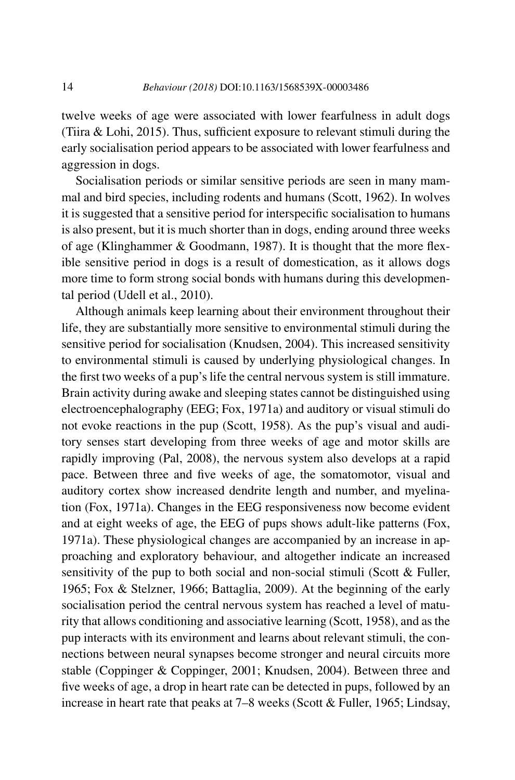twelve weeks of age were associated with lower fearfulness in adult dogs (Tiira & Lohi, 2015). Thus, sufficient exposure to relevant stimuli during the early socialisation period appears to be associated with lower fearfulness and aggression in dogs.

Socialisation periods or similar sensitive periods are seen in many mammal and bird species, including rodents and humans (Scott, 1962). In wolves it is suggested that a sensitive period for interspecific socialisation to humans is also present, but it is much shorter than in dogs, ending around three weeks of age (Klinghammer & Goodmann, 1987). It is thought that the more flexible sensitive period in dogs is a result of domestication, as it allows dogs more time to form strong social bonds with humans during this developmental period (Udell et al., 2010).

Although animals keep learning about their environment throughout their life, they are substantially more sensitive to environmental stimuli during the sensitive period for socialisation (Knudsen, 2004). This increased sensitivity to environmental stimuli is caused by underlying physiological changes. In the first two weeks of a pup's life the central nervous system is still immature. Brain activity during awake and sleeping states cannot be distinguished using electroencephalography (EEG; Fox, 1971a) and auditory or visual stimuli do not evoke reactions in the pup (Scott, 1958). As the pup's visual and auditory senses start developing from three weeks of age and motor skills are rapidly improving (Pal, 2008), the nervous system also develops at a rapid pace. Between three and five weeks of age, the somatomotor, visual and auditory cortex show increased dendrite length and number, and myelination (Fox, 1971a). Changes in the EEG responsiveness now become evident and at eight weeks of age, the EEG of pups shows adult-like patterns (Fox, 1971a). These physiological changes are accompanied by an increase in approaching and exploratory behaviour, and altogether indicate an increased sensitivity of the pup to both social and non-social stimuli (Scott & Fuller, 1965; Fox & Stelzner, 1966; Battaglia, 2009). At the beginning of the early socialisation period the central nervous system has reached a level of maturity that allows conditioning and associative learning (Scott, 1958), and as the pup interacts with its environment and learns about relevant stimuli, the connections between neural synapses become stronger and neural circuits more stable (Coppinger & Coppinger, 2001; Knudsen, 2004). Between three and five weeks of age, a drop in heart rate can be detected in pups, followed by an increase in heart rate that peaks at 7–8 weeks (Scott & Fuller, 1965; Lindsay,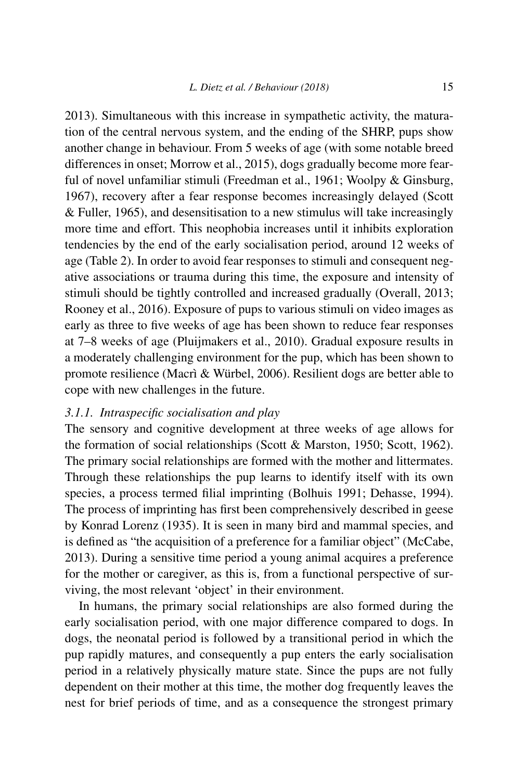2013). Simultaneous with this increase in sympathetic activity, the maturation of the central nervous system, and the ending of the SHRP, pups show another change in behaviour. From 5 weeks of age (with some notable breed differences in onset; Morrow et al., 2015), dogs gradually become more fearful of novel unfamiliar stimuli (Freedman et al., 1961; Woolpy & Ginsburg, 1967), recovery after a fear response becomes increasingly delayed (Scott & Fuller, 1965), and desensitisation to a new stimulus will take increasingly more time and effort. This neophobia increases until it inhibits exploration tendencies by the end of the early socialisation period, around 12 weeks of age (Table 2). In order to avoid fear responses to stimuli and consequent negative associations or trauma during this time, the exposure and intensity of stimuli should be tightly controlled and increased gradually (Overall, 2013; Rooney et al., 2016). Exposure of pups to various stimuli on video images as early as three to five weeks of age has been shown to reduce fear responses at 7–8 weeks of age (Pluijmakers et al., 2010). Gradual exposure results in a moderately challenging environment for the pup, which has been shown to promote resilience (Macrì & Würbel, 2006). Resilient dogs are better able to cope with new challenges in the future.

### *3.1.1. Intraspecific socialisation and play*

The sensory and cognitive development at three weeks of age allows for the formation of social relationships (Scott & Marston, 1950; Scott, 1962). The primary social relationships are formed with the mother and littermates. Through these relationships the pup learns to identify itself with its own species, a process termed filial imprinting (Bolhuis 1991; Dehasse, 1994). The process of imprinting has first been comprehensively described in geese by Konrad Lorenz (1935). It is seen in many bird and mammal species, and is defined as "the acquisition of a preference for a familiar object" (McCabe, 2013). During a sensitive time period a young animal acquires a preference for the mother or caregiver, as this is, from a functional perspective of surviving, the most relevant 'object' in their environment.

In humans, the primary social relationships are also formed during the early socialisation period, with one major difference compared to dogs. In dogs, the neonatal period is followed by a transitional period in which the pup rapidly matures, and consequently a pup enters the early socialisation period in a relatively physically mature state. Since the pups are not fully dependent on their mother at this time, the mother dog frequently leaves the nest for brief periods of time, and as a consequence the strongest primary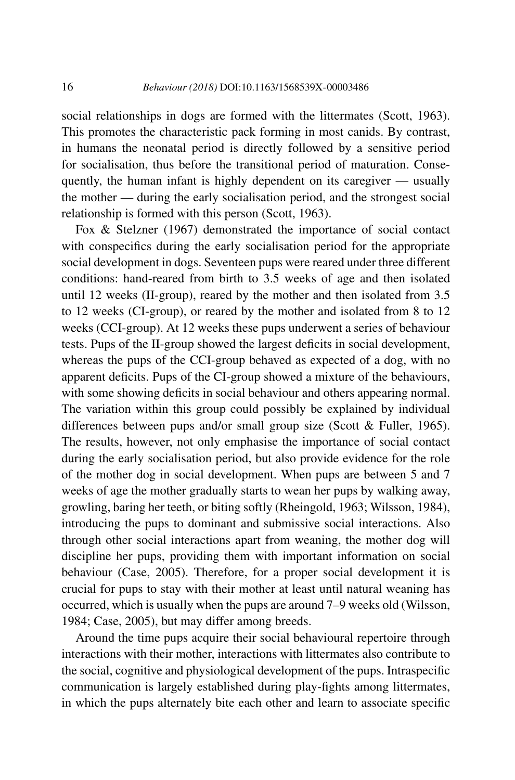social relationships in dogs are formed with the littermates (Scott, 1963). This promotes the characteristic pack forming in most canids. By contrast, in humans the neonatal period is directly followed by a sensitive period for socialisation, thus before the transitional period of maturation. Consequently, the human infant is highly dependent on its caregiver — usually the mother — during the early socialisation period, and the strongest social relationship is formed with this person (Scott, 1963).

Fox & Stelzner (1967) demonstrated the importance of social contact with conspecifics during the early socialisation period for the appropriate social development in dogs. Seventeen pups were reared under three different conditions: hand-reared from birth to 3.5 weeks of age and then isolated until 12 weeks (II-group), reared by the mother and then isolated from 3.5 to 12 weeks (CI-group), or reared by the mother and isolated from 8 to 12 weeks (CCI-group). At 12 weeks these pups underwent a series of behaviour tests. Pups of the II-group showed the largest deficits in social development, whereas the pups of the CCI-group behaved as expected of a dog, with no apparent deficits. Pups of the CI-group showed a mixture of the behaviours, with some showing deficits in social behaviour and others appearing normal. The variation within this group could possibly be explained by individual differences between pups and/or small group size (Scott & Fuller, 1965). The results, however, not only emphasise the importance of social contact during the early socialisation period, but also provide evidence for the role of the mother dog in social development. When pups are between 5 and 7 weeks of age the mother gradually starts to wean her pups by walking away, growling, baring her teeth, or biting softly (Rheingold, 1963; Wilsson, 1984), introducing the pups to dominant and submissive social interactions. Also through other social interactions apart from weaning, the mother dog will discipline her pups, providing them with important information on social behaviour (Case, 2005). Therefore, for a proper social development it is crucial for pups to stay with their mother at least until natural weaning has occurred, which is usually when the pups are around 7–9 weeks old (Wilsson, 1984; Case, 2005), but may differ among breeds.

Around the time pups acquire their social behavioural repertoire through interactions with their mother, interactions with littermates also contribute to the social, cognitive and physiological development of the pups. Intraspecific communication is largely established during play-fights among littermates, in which the pups alternately bite each other and learn to associate specific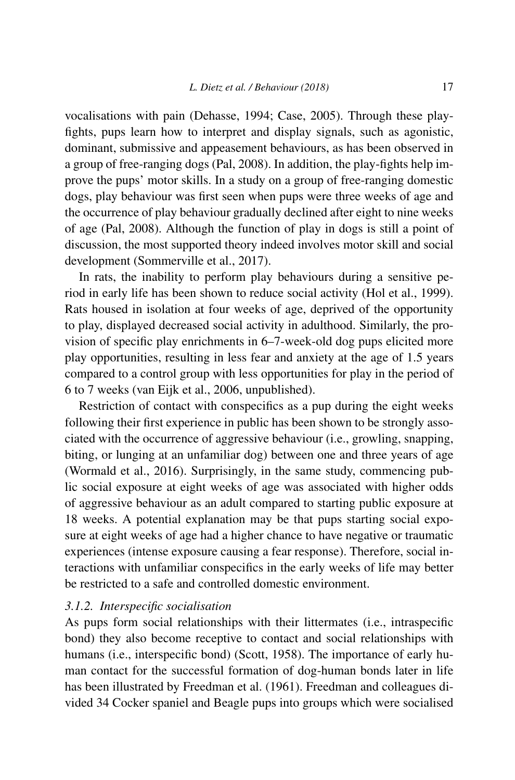vocalisations with pain (Dehasse, 1994; Case, 2005). Through these playfights, pups learn how to interpret and display signals, such as agonistic, dominant, submissive and appeasement behaviours, as has been observed in a group of free-ranging dogs (Pal, 2008). In addition, the play-fights help improve the pups' motor skills. In a study on a group of free-ranging domestic dogs, play behaviour was first seen when pups were three weeks of age and the occurrence of play behaviour gradually declined after eight to nine weeks of age (Pal, 2008). Although the function of play in dogs is still a point of discussion, the most supported theory indeed involves motor skill and social development (Sommerville et al., 2017).

In rats, the inability to perform play behaviours during a sensitive period in early life has been shown to reduce social activity (Hol et al., 1999). Rats housed in isolation at four weeks of age, deprived of the opportunity to play, displayed decreased social activity in adulthood. Similarly, the provision of specific play enrichments in 6–7-week-old dog pups elicited more play opportunities, resulting in less fear and anxiety at the age of 1.5 years compared to a control group with less opportunities for play in the period of 6 to 7 weeks (van Eijk et al., 2006, unpublished).

Restriction of contact with conspecifics as a pup during the eight weeks following their first experience in public has been shown to be strongly associated with the occurrence of aggressive behaviour (i.e., growling, snapping, biting, or lunging at an unfamiliar dog) between one and three years of age (Wormald et al., 2016). Surprisingly, in the same study, commencing public social exposure at eight weeks of age was associated with higher odds of aggressive behaviour as an adult compared to starting public exposure at 18 weeks. A potential explanation may be that pups starting social exposure at eight weeks of age had a higher chance to have negative or traumatic experiences (intense exposure causing a fear response). Therefore, social interactions with unfamiliar conspecifics in the early weeks of life may better be restricted to a safe and controlled domestic environment.

#### *3.1.2. Interspecific socialisation*

As pups form social relationships with their littermates (i.e., intraspecific bond) they also become receptive to contact and social relationships with humans (i.e., interspecific bond) (Scott, 1958). The importance of early human contact for the successful formation of dog-human bonds later in life has been illustrated by Freedman et al. (1961). Freedman and colleagues divided 34 Cocker spaniel and Beagle pups into groups which were socialised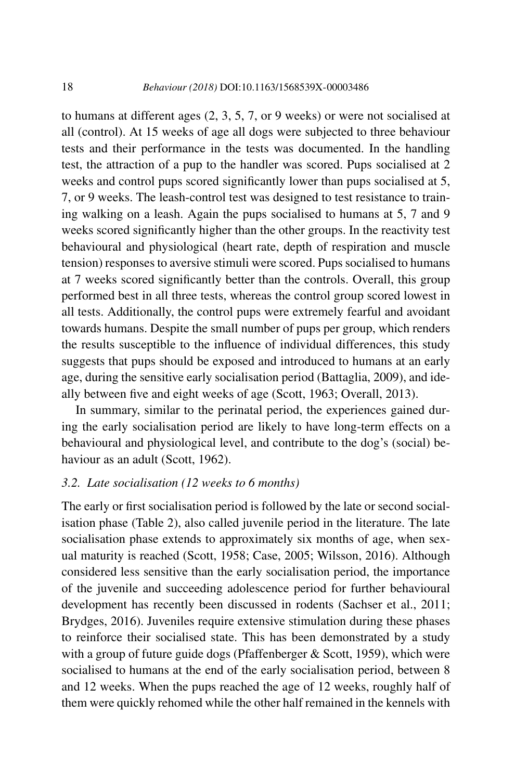to humans at different ages (2, 3, 5, 7, or 9 weeks) or were not socialised at all (control). At 15 weeks of age all dogs were subjected to three behaviour tests and their performance in the tests was documented. In the handling test, the attraction of a pup to the handler was scored. Pups socialised at 2 weeks and control pups scored significantly lower than pups socialised at 5, 7, or 9 weeks. The leash-control test was designed to test resistance to training walking on a leash. Again the pups socialised to humans at 5, 7 and 9 weeks scored significantly higher than the other groups. In the reactivity test behavioural and physiological (heart rate, depth of respiration and muscle tension) responses to aversive stimuli were scored. Pups socialised to humans at 7 weeks scored significantly better than the controls. Overall, this group performed best in all three tests, whereas the control group scored lowest in all tests. Additionally, the control pups were extremely fearful and avoidant towards humans. Despite the small number of pups per group, which renders the results susceptible to the influence of individual differences, this study suggests that pups should be exposed and introduced to humans at an early age, during the sensitive early socialisation period (Battaglia, 2009), and ideally between five and eight weeks of age (Scott, 1963; Overall, 2013).

In summary, similar to the perinatal period, the experiences gained during the early socialisation period are likely to have long-term effects on a behavioural and physiological level, and contribute to the dog's (social) behaviour as an adult (Scott, 1962).

#### *3.2. Late socialisation (12 weeks to 6 months)*

The early or first socialisation period is followed by the late or second socialisation phase (Table 2), also called juvenile period in the literature. The late socialisation phase extends to approximately six months of age, when sexual maturity is reached (Scott, 1958; Case, 2005; Wilsson, 2016). Although considered less sensitive than the early socialisation period, the importance of the juvenile and succeeding adolescence period for further behavioural development has recently been discussed in rodents (Sachser et al., 2011; Brydges, 2016). Juveniles require extensive stimulation during these phases to reinforce their socialised state. This has been demonstrated by a study with a group of future guide dogs (Pfaffenberger  $\&$  Scott, 1959), which were socialised to humans at the end of the early socialisation period, between 8 and 12 weeks. When the pups reached the age of 12 weeks, roughly half of them were quickly rehomed while the other half remained in the kennels with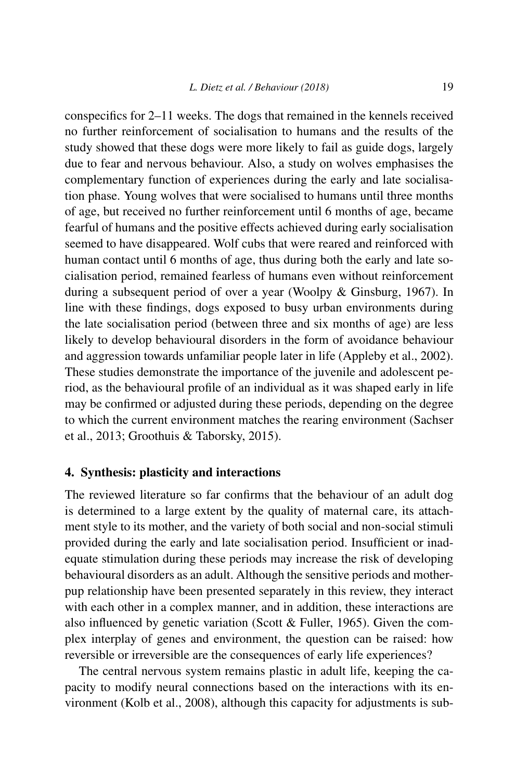conspecifics for 2–11 weeks. The dogs that remained in the kennels received no further reinforcement of socialisation to humans and the results of the study showed that these dogs were more likely to fail as guide dogs, largely due to fear and nervous behaviour. Also, a study on wolves emphasises the complementary function of experiences during the early and late socialisation phase. Young wolves that were socialised to humans until three months of age, but received no further reinforcement until 6 months of age, became fearful of humans and the positive effects achieved during early socialisation seemed to have disappeared. Wolf cubs that were reared and reinforced with human contact until 6 months of age, thus during both the early and late socialisation period, remained fearless of humans even without reinforcement during a subsequent period of over a year (Woolpy & Ginsburg, 1967). In line with these findings, dogs exposed to busy urban environments during the late socialisation period (between three and six months of age) are less likely to develop behavioural disorders in the form of avoidance behaviour and aggression towards unfamiliar people later in life (Appleby et al., 2002). These studies demonstrate the importance of the juvenile and adolescent period, as the behavioural profile of an individual as it was shaped early in life may be confirmed or adjusted during these periods, depending on the degree to which the current environment matches the rearing environment (Sachser et al., 2013; Groothuis & Taborsky, 2015).

#### **4. Synthesis: plasticity and interactions**

The reviewed literature so far confirms that the behaviour of an adult dog is determined to a large extent by the quality of maternal care, its attachment style to its mother, and the variety of both social and non-social stimuli provided during the early and late socialisation period. Insufficient or inadequate stimulation during these periods may increase the risk of developing behavioural disorders as an adult. Although the sensitive periods and motherpup relationship have been presented separately in this review, they interact with each other in a complex manner, and in addition, these interactions are also influenced by genetic variation (Scott & Fuller, 1965). Given the complex interplay of genes and environment, the question can be raised: how reversible or irreversible are the consequences of early life experiences?

The central nervous system remains plastic in adult life, keeping the capacity to modify neural connections based on the interactions with its environment (Kolb et al., 2008), although this capacity for adjustments is sub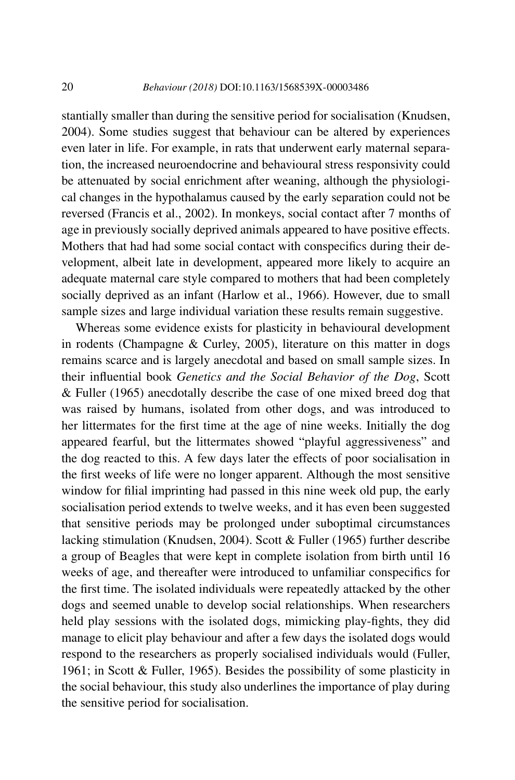stantially smaller than during the sensitive period for socialisation (Knudsen, 2004). Some studies suggest that behaviour can be altered by experiences even later in life. For example, in rats that underwent early maternal separation, the increased neuroendocrine and behavioural stress responsivity could be attenuated by social enrichment after weaning, although the physiological changes in the hypothalamus caused by the early separation could not be reversed (Francis et al., 2002). In monkeys, social contact after 7 months of age in previously socially deprived animals appeared to have positive effects. Mothers that had had some social contact with conspecifics during their development, albeit late in development, appeared more likely to acquire an adequate maternal care style compared to mothers that had been completely socially deprived as an infant (Harlow et al., 1966). However, due to small sample sizes and large individual variation these results remain suggestive.

Whereas some evidence exists for plasticity in behavioural development in rodents (Champagne & Curley, 2005), literature on this matter in dogs remains scarce and is largely anecdotal and based on small sample sizes. In their influential book *Genetics and the Social Behavior of the Dog*, Scott & Fuller (1965) anecdotally describe the case of one mixed breed dog that was raised by humans, isolated from other dogs, and was introduced to her littermates for the first time at the age of nine weeks. Initially the dog appeared fearful, but the littermates showed "playful aggressiveness" and the dog reacted to this. A few days later the effects of poor socialisation in the first weeks of life were no longer apparent. Although the most sensitive window for filial imprinting had passed in this nine week old pup, the early socialisation period extends to twelve weeks, and it has even been suggested that sensitive periods may be prolonged under suboptimal circumstances lacking stimulation (Knudsen, 2004). Scott & Fuller (1965) further describe a group of Beagles that were kept in complete isolation from birth until 16 weeks of age, and thereafter were introduced to unfamiliar conspecifics for the first time. The isolated individuals were repeatedly attacked by the other dogs and seemed unable to develop social relationships. When researchers held play sessions with the isolated dogs, mimicking play-fights, they did manage to elicit play behaviour and after a few days the isolated dogs would respond to the researchers as properly socialised individuals would (Fuller, 1961; in Scott & Fuller, 1965). Besides the possibility of some plasticity in the social behaviour, this study also underlines the importance of play during the sensitive period for socialisation.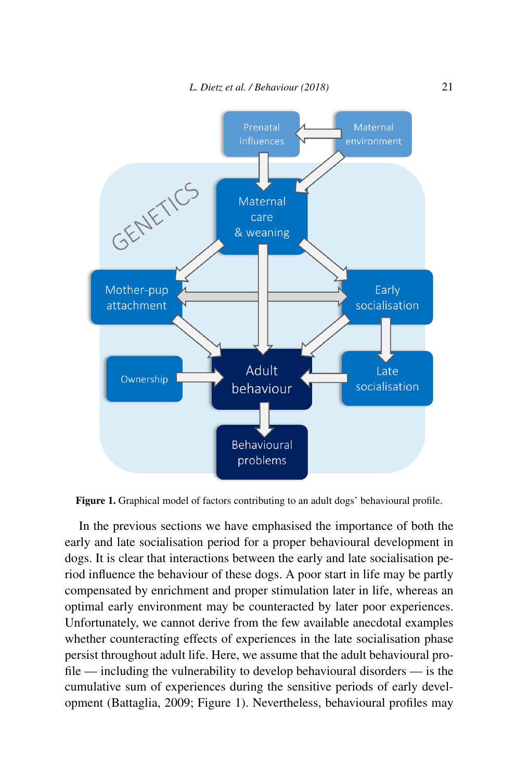

**Figure 1.** Graphical model of factors contributing to an adult dogs' behavioural profile.

In the previous sections we have emphasised the importance of both the early and late socialisation period for a proper behavioural development in dogs. It is clear that interactions between the early and late socialisation period influence the behaviour of these dogs. A poor start in life may be partly compensated by enrichment and proper stimulation later in life, whereas an optimal early environment may be counteracted by later poor experiences. Unfortunately, we cannot derive from the few available anecdotal examples whether counteracting effects of experiences in the late socialisation phase persist throughout adult life. Here, we assume that the adult behavioural profile — including the vulnerability to develop behavioural disorders — is the cumulative sum of experiences during the sensitive periods of early development (Battaglia, 2009; Figure 1). Nevertheless, behavioural profiles may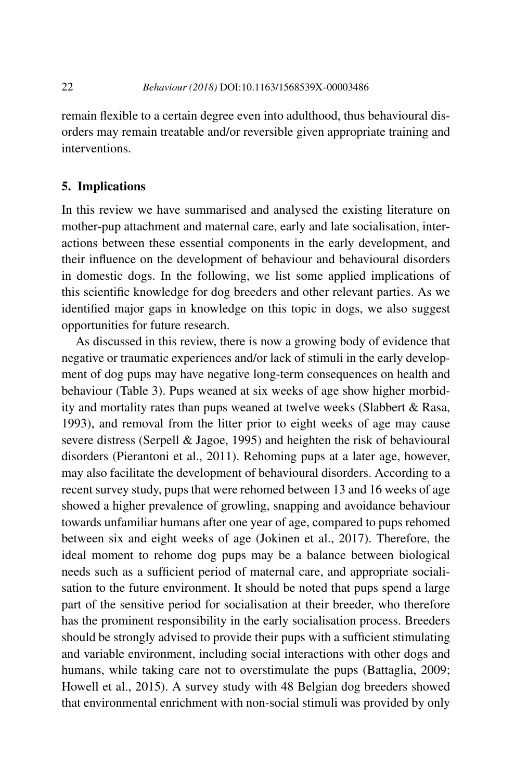remain flexible to a certain degree even into adulthood, thus behavioural disorders may remain treatable and/or reversible given appropriate training and interventions.

#### **5. Implications**

In this review we have summarised and analysed the existing literature on mother-pup attachment and maternal care, early and late socialisation, interactions between these essential components in the early development, and their influence on the development of behaviour and behavioural disorders in domestic dogs. In the following, we list some applied implications of this scientific knowledge for dog breeders and other relevant parties. As we identified major gaps in knowledge on this topic in dogs, we also suggest opportunities for future research.

As discussed in this review, there is now a growing body of evidence that negative or traumatic experiences and/or lack of stimuli in the early development of dog pups may have negative long-term consequences on health and behaviour (Table 3). Pups weaned at six weeks of age show higher morbidity and mortality rates than pups weaned at twelve weeks (Slabbert & Rasa, 1993), and removal from the litter prior to eight weeks of age may cause severe distress (Serpell & Jagoe, 1995) and heighten the risk of behavioural disorders (Pierantoni et al., 2011). Rehoming pups at a later age, however, may also facilitate the development of behavioural disorders. According to a recent survey study, pups that were rehomed between 13 and 16 weeks of age showed a higher prevalence of growling, snapping and avoidance behaviour towards unfamiliar humans after one year of age, compared to pups rehomed between six and eight weeks of age (Jokinen et al., 2017). Therefore, the ideal moment to rehome dog pups may be a balance between biological needs such as a sufficient period of maternal care, and appropriate socialisation to the future environment. It should be noted that pups spend a large part of the sensitive period for socialisation at their breeder, who therefore has the prominent responsibility in the early socialisation process. Breeders should be strongly advised to provide their pups with a sufficient stimulating and variable environment, including social interactions with other dogs and humans, while taking care not to overstimulate the pups (Battaglia, 2009; Howell et al., 2015). A survey study with 48 Belgian dog breeders showed that environmental enrichment with non-social stimuli was provided by only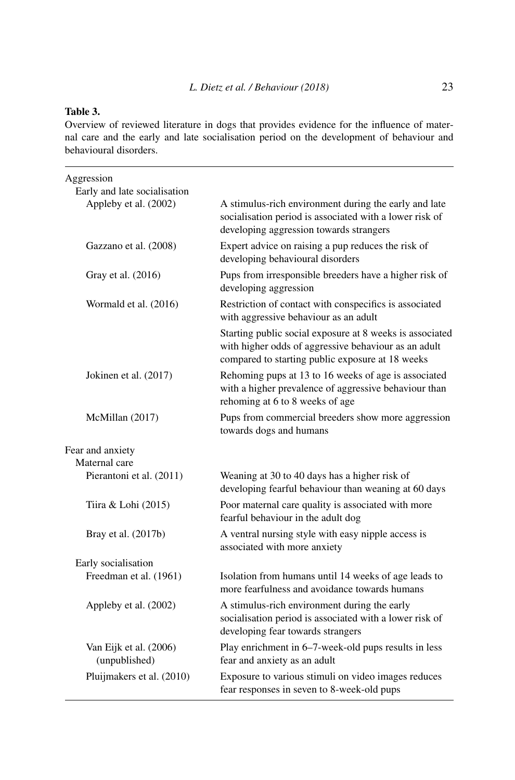### **Table 3.**

Overview of reviewed literature in dogs that provides evidence for the influence of maternal care and the early and late socialisation period on the development of behaviour and behavioural disorders.

| Aggression<br>Early and late socialisation |                                                                                                                                                                      |
|--------------------------------------------|----------------------------------------------------------------------------------------------------------------------------------------------------------------------|
| Appleby et al. (2002)                      | A stimulus-rich environment during the early and late<br>socialisation period is associated with a lower risk of<br>developing aggression towards strangers          |
| Gazzano et al. (2008)                      | Expert advice on raising a pup reduces the risk of<br>developing behavioural disorders                                                                               |
| Gray et al. (2016)                         | Pups from irresponsible breeders have a higher risk of<br>developing aggression                                                                                      |
| Wormald et al. (2016)                      | Restriction of contact with conspecifics is associated<br>with aggressive behaviour as an adult                                                                      |
|                                            | Starting public social exposure at 8 weeks is associated<br>with higher odds of aggressive behaviour as an adult<br>compared to starting public exposure at 18 weeks |
| Jokinen et al. (2017)                      | Rehoming pups at 13 to 16 weeks of age is associated<br>with a higher prevalence of aggressive behaviour than<br>rehoming at 6 to 8 weeks of age                     |
| McMillan (2017)                            | Pups from commercial breeders show more aggression<br>towards dogs and humans                                                                                        |
| Fear and anxiety                           |                                                                                                                                                                      |
| Maternal care                              |                                                                                                                                                                      |
| Pierantoni et al. (2011)                   | Weaning at 30 to 40 days has a higher risk of<br>developing fearful behaviour than weaning at 60 days                                                                |
| Tiira & Lohi (2015)                        | Poor maternal care quality is associated with more<br>fearful behaviour in the adult dog                                                                             |
| Bray et al. (2017b)                        | A ventral nursing style with easy nipple access is<br>associated with more anxiety                                                                                   |
| Early socialisation                        |                                                                                                                                                                      |
| Freedman et al. (1961)                     | Isolation from humans until 14 weeks of age leads to<br>more fearfulness and avoidance towards humans                                                                |
| Appleby et al. (2002)                      | A stimulus-rich environment during the early<br>socialisation period is associated with a lower risk of<br>developing fear towards strangers                         |
| Van Eijk et al. (2006)<br>(unpublished)    | Play enrichment in 6–7-week-old pups results in less<br>fear and anxiety as an adult                                                                                 |
| Pluijmakers et al. (2010)                  | Exposure to various stimuli on video images reduces<br>fear responses in seven to 8-week-old pups                                                                    |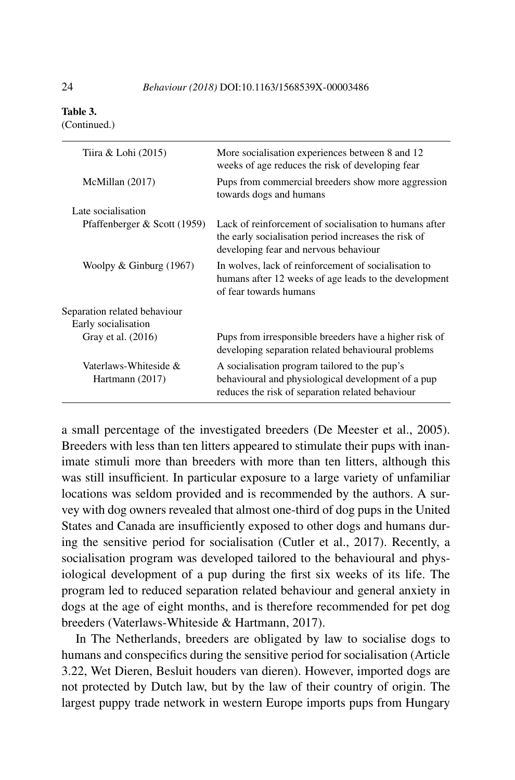#### **Table 3.**

(Continued.)

| Tiira & Lohi (2015)                      | More socialisation experiences between 8 and 12<br>weeks of age reduces the risk of developing fear                                                     |
|------------------------------------------|---------------------------------------------------------------------------------------------------------------------------------------------------------|
| McMillan (2017)                          | Pups from commercial breeders show more aggression<br>towards dogs and humans                                                                           |
| Late socialisation                       |                                                                                                                                                         |
| Pfaffenberger & Scott (1959)             | Lack of reinforcement of socialisation to humans after<br>the early socialisation period increases the risk of<br>developing fear and nervous behaviour |
| Woolpy $&$ Ginburg (1967)                | In wolves, lack of reinforcement of socialisation to<br>humans after 12 weeks of age leads to the development<br>of fear towards humans                 |
| Separation related behaviour             |                                                                                                                                                         |
| Early socialisation                      |                                                                                                                                                         |
| Gray et al. (2016)                       | Pups from irresponsible breeders have a higher risk of<br>developing separation related behavioural problems                                            |
| Vaterlaws-Whiteside &<br>Hartmann (2017) | A socialisation program tailored to the pup's<br>behavioural and physiological development of a pup<br>reduces the risk of separation related behaviour |

a small percentage of the investigated breeders (De Meester et al., 2005). Breeders with less than ten litters appeared to stimulate their pups with inanimate stimuli more than breeders with more than ten litters, although this was still insufficient. In particular exposure to a large variety of unfamiliar locations was seldom provided and is recommended by the authors. A survey with dog owners revealed that almost one-third of dog pups in the United States and Canada are insufficiently exposed to other dogs and humans during the sensitive period for socialisation (Cutler et al., 2017). Recently, a socialisation program was developed tailored to the behavioural and physiological development of a pup during the first six weeks of its life. The program led to reduced separation related behaviour and general anxiety in dogs at the age of eight months, and is therefore recommended for pet dog breeders (Vaterlaws-Whiteside & Hartmann, 2017).

In The Netherlands, breeders are obligated by law to socialise dogs to humans and conspecifics during the sensitive period for socialisation (Article 3.22, Wet Dieren, Besluit houders van dieren). However, imported dogs are not protected by Dutch law, but by the law of their country of origin. The largest puppy trade network in western Europe imports pups from Hungary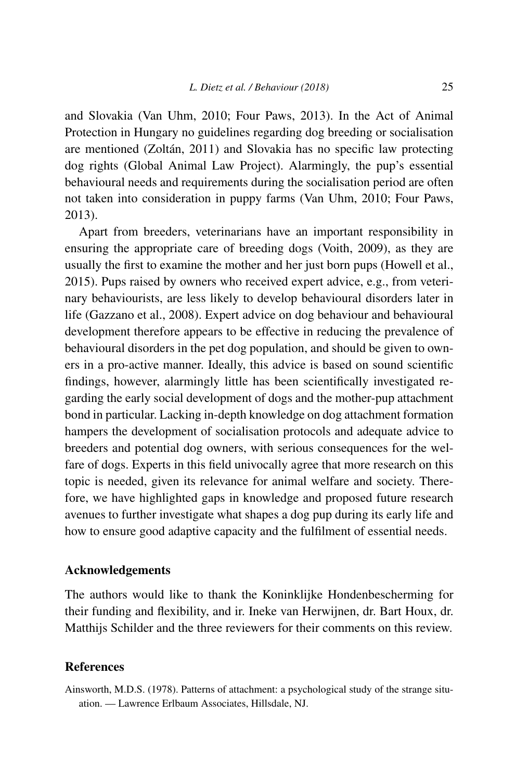and Slovakia (Van Uhm, 2010; Four Paws, 2013). In the Act of Animal Protection in Hungary no guidelines regarding dog breeding or socialisation are mentioned (Zoltán, 2011) and Slovakia has no specific law protecting dog rights (Global Animal Law Project). Alarmingly, the pup's essential behavioural needs and requirements during the socialisation period are often not taken into consideration in puppy farms (Van Uhm, 2010; Four Paws, 2013).

Apart from breeders, veterinarians have an important responsibility in ensuring the appropriate care of breeding dogs (Voith, 2009), as they are usually the first to examine the mother and her just born pups (Howell et al., 2015). Pups raised by owners who received expert advice, e.g., from veterinary behaviourists, are less likely to develop behavioural disorders later in life (Gazzano et al., 2008). Expert advice on dog behaviour and behavioural development therefore appears to be effective in reducing the prevalence of behavioural disorders in the pet dog population, and should be given to owners in a pro-active manner. Ideally, this advice is based on sound scientific findings, however, alarmingly little has been scientifically investigated regarding the early social development of dogs and the mother-pup attachment bond in particular. Lacking in-depth knowledge on dog attachment formation hampers the development of socialisation protocols and adequate advice to breeders and potential dog owners, with serious consequences for the welfare of dogs. Experts in this field univocally agree that more research on this topic is needed, given its relevance for animal welfare and society. Therefore, we have highlighted gaps in knowledge and proposed future research avenues to further investigate what shapes a dog pup during its early life and how to ensure good adaptive capacity and the fulfilment of essential needs.

## **Acknowledgements**

The authors would like to thank the Koninklijke Hondenbescherming for their funding and flexibility, and ir. Ineke van Herwijnen, dr. Bart Houx, dr. Matthijs Schilder and the three reviewers for their comments on this review.

### **References**

Ainsworth, M.D.S. (1978). Patterns of attachment: a psychological study of the strange situation. — Lawrence Erlbaum Associates, Hillsdale, NJ.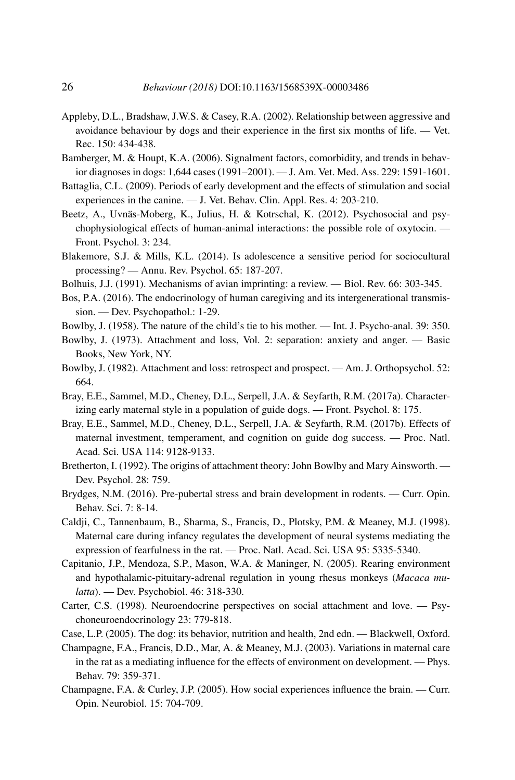- Appleby, D.L., Bradshaw, J.W.S. & Casey, R.A. (2002). Relationship between aggressive and avoidance behaviour by dogs and their experience in the first six months of life. — Vet. Rec. 150: 434-438.
- Bamberger, M. & Houpt, K.A. (2006). Signalment factors, comorbidity, and trends in behavior diagnoses in dogs: 1,644 cases (1991–2001). — J. Am. Vet. Med. Ass. 229: 1591-1601.
- Battaglia, C.L. (2009). Periods of early development and the effects of stimulation and social experiences in the canine. — J. Vet. Behav. Clin. Appl. Res. 4: 203-210.
- Beetz, A., Uvnäs-Moberg, K., Julius, H. & Kotrschal, K. (2012). Psychosocial and psychophysiological effects of human-animal interactions: the possible role of oxytocin. — Front. Psychol. 3: 234.
- Blakemore, S.J. & Mills, K.L. (2014). Is adolescence a sensitive period for sociocultural processing? — Annu. Rev. Psychol. 65: 187-207.
- Bolhuis, J.J. (1991). Mechanisms of avian imprinting: a review. Biol. Rev. 66: 303-345.
- Bos, P.A. (2016). The endocrinology of human caregiving and its intergenerational transmission. — Dev. Psychopathol.: 1-29.
- Bowlby, J. (1958). The nature of the child's tie to his mother. Int. J. Psycho-anal. 39: 350.
- Bowlby, J. (1973). Attachment and loss, Vol. 2: separation: anxiety and anger. Basic Books, New York, NY.
- Bowlby, J. (1982). Attachment and loss: retrospect and prospect. Am. J. Orthopsychol. 52: 664.
- Bray, E.E., Sammel, M.D., Cheney, D.L., Serpell, J.A. & Seyfarth, R.M. (2017a). Characterizing early maternal style in a population of guide dogs. — Front. Psychol. 8: 175.
- Bray, E.E., Sammel, M.D., Cheney, D.L., Serpell, J.A. & Seyfarth, R.M. (2017b). Effects of maternal investment, temperament, and cognition on guide dog success. — Proc. Natl. Acad. Sci. USA 114: 9128-9133.
- Bretherton, I. (1992). The origins of attachment theory: John Bowlby and Mary Ainsworth. Dev. Psychol. 28: 759.
- Brydges, N.M. (2016). Pre-pubertal stress and brain development in rodents. Curr. Opin. Behav. Sci. 7: 8-14.
- Caldji, C., Tannenbaum, B., Sharma, S., Francis, D., Plotsky, P.M. & Meaney, M.J. (1998). Maternal care during infancy regulates the development of neural systems mediating the expression of fearfulness in the rat. — Proc. Natl. Acad. Sci. USA 95: 5335-5340.
- Capitanio, J.P., Mendoza, S.P., Mason, W.A. & Maninger, N. (2005). Rearing environment and hypothalamic-pituitary-adrenal regulation in young rhesus monkeys (*Macaca mulatta*). — Dev. Psychobiol. 46: 318-330.
- Carter, C.S. (1998). Neuroendocrine perspectives on social attachment and love. Psychoneuroendocrinology 23: 779-818.
- Case, L.P. (2005). The dog: its behavior, nutrition and health, 2nd edn. Blackwell, Oxford.
- Champagne, F.A., Francis, D.D., Mar, A. & Meaney, M.J. (2003). Variations in maternal care in the rat as a mediating influence for the effects of environment on development. — Phys. Behav. 79: 359-371.
- Champagne, F.A. & Curley, J.P. (2005). How social experiences influence the brain. Curr. Opin. Neurobiol. 15: 704-709.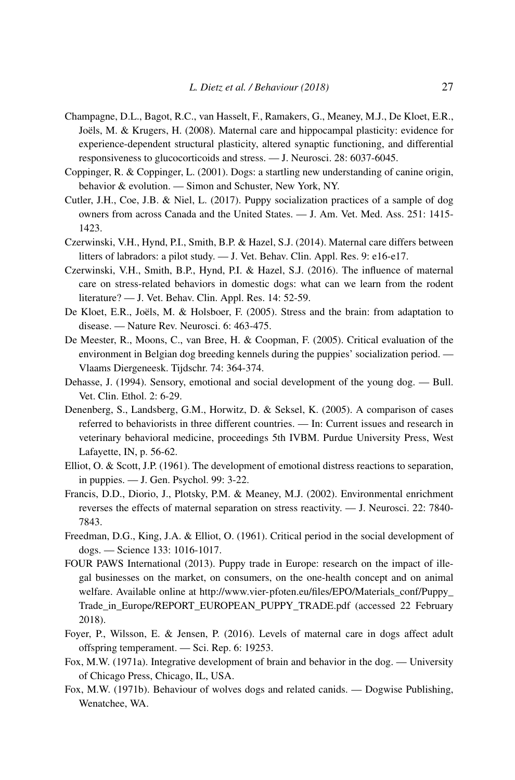- Champagne, D.L., Bagot, R.C., van Hasselt, F., Ramakers, G., Meaney, M.J., De Kloet, E.R., Joëls, M. & Krugers, H. (2008). Maternal care and hippocampal plasticity: evidence for experience-dependent structural plasticity, altered synaptic functioning, and differential responsiveness to glucocorticoids and stress. — J. Neurosci. 28: 6037-6045.
- Coppinger, R. & Coppinger, L. (2001). Dogs: a startling new understanding of canine origin, behavior & evolution. — Simon and Schuster, New York, NY.
- Cutler, J.H., Coe, J.B. & Niel, L. (2017). Puppy socialization practices of a sample of dog owners from across Canada and the United States. — J. Am. Vet. Med. Ass. 251: 1415- 1423.
- Czerwinski, V.H., Hynd, P.I., Smith, B.P. & Hazel, S.J. (2014). Maternal care differs between litters of labradors: a pilot study. — J. Vet. Behav. Clin. Appl. Res. 9: e16-e17.
- Czerwinski, V.H., Smith, B.P., Hynd, P.I. & Hazel, S.J. (2016). The influence of maternal care on stress-related behaviors in domestic dogs: what can we learn from the rodent literature? — J. Vet. Behav. Clin. Appl. Res. 14: 52-59.
- De Kloet, E.R., Joëls, M. & Holsboer, F. (2005). Stress and the brain: from adaptation to disease. — Nature Rev. Neurosci. 6: 463-475.
- De Meester, R., Moons, C., van Bree, H. & Coopman, F. (2005). Critical evaluation of the environment in Belgian dog breeding kennels during the puppies' socialization period. — Vlaams Diergeneesk. Tijdschr. 74: 364-374.
- Dehasse, J. (1994). Sensory, emotional and social development of the young dog. Bull. Vet. Clin. Ethol. 2: 6-29.
- Denenberg, S., Landsberg, G.M., Horwitz, D. & Seksel, K. (2005). A comparison of cases referred to behaviorists in three different countries. — In: Current issues and research in veterinary behavioral medicine, proceedings 5th IVBM. Purdue University Press, West Lafayette, IN, p. 56-62.
- Elliot, O. & Scott, J.P. (1961). The development of emotional distress reactions to separation, in puppies. — J. Gen. Psychol. 99: 3-22.
- Francis, D.D., Diorio, J., Plotsky, P.M. & Meaney, M.J. (2002). Environmental enrichment reverses the effects of maternal separation on stress reactivity. — J. Neurosci. 22: 7840- 7843.
- Freedman, D.G., King, J.A. & Elliot, O. (1961). Critical period in the social development of dogs. — Science 133: 1016-1017.
- FOUR PAWS International (2013). Puppy trade in Europe: research on the impact of illegal businesses on the market, on consumers, on the one-health concept and on animal welfare. Available online at [http://www.vier-pfoten.eu/files/EPO/Materials\\_conf/Puppy\\_](http://www.vier-pfoten.eu/files/EPO/Materials_conf/Puppy_Trade_in_Europe/REPORT_EUROPEAN_PUPPY_TRADE.pdf) [Trade\\_in\\_Europe/REPORT\\_EUROPEAN\\_PUPPY\\_TRADE.pdf](http://www.vier-pfoten.eu/files/EPO/Materials_conf/Puppy_Trade_in_Europe/REPORT_EUROPEAN_PUPPY_TRADE.pdf) (accessed 22 February 2018).
- Foyer, P., Wilsson, E. & Jensen, P. (2016). Levels of maternal care in dogs affect adult offspring temperament. — Sci. Rep. 6: 19253.
- Fox, M.W. (1971a). Integrative development of brain and behavior in the dog. University of Chicago Press, Chicago, IL, USA.
- Fox, M.W. (1971b). Behaviour of wolves dogs and related canids. Dogwise Publishing, Wenatchee, WA.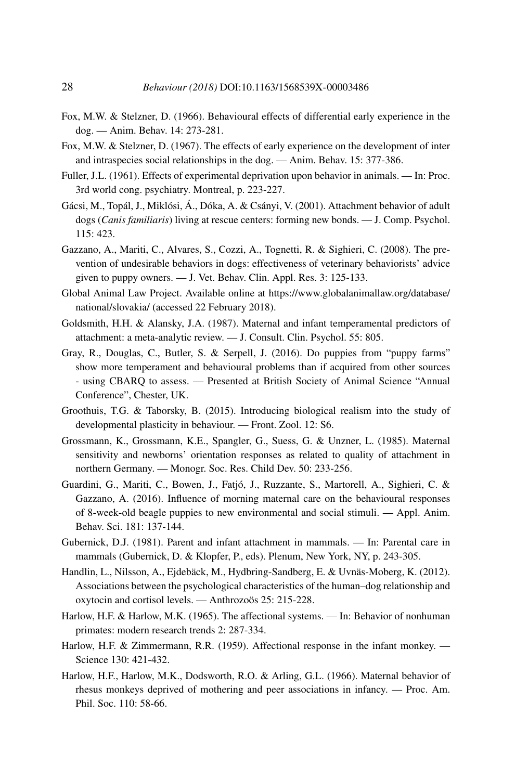- Fox, M.W. & Stelzner, D. (1966). Behavioural effects of differential early experience in the dog. — Anim. Behav. 14: 273-281.
- Fox, M.W. & Stelzner, D. (1967). The effects of early experience on the development of inter and intraspecies social relationships in the dog. — Anim. Behav. 15: 377-386.
- Fuller, J.L. (1961). Effects of experimental deprivation upon behavior in animals. In: Proc. 3rd world cong. psychiatry. Montreal, p. 223-227.
- Gácsi, M., Topál, J., Miklósi, Á., Dóka, A. & Csányi, V. (2001). Attachment behavior of adult dogs (*Canis familiaris*) living at rescue centers: forming new bonds. — J. Comp. Psychol. 115: 423.
- Gazzano, A., Mariti, C., Alvares, S., Cozzi, A., Tognetti, R. & Sighieri, C. (2008). The prevention of undesirable behaviors in dogs: effectiveness of veterinary behaviorists' advice given to puppy owners. — J. Vet. Behav. Clin. Appl. Res. 3: 125-133.
- Global Animal Law Project. Available online at [https://www.globalanimallaw.org/database/](https://www.globalanimallaw.org/database/national/slovakia/) [national/slovakia/](https://www.globalanimallaw.org/database/national/slovakia/) (accessed 22 February 2018).
- Goldsmith, H.H. & Alansky, J.A. (1987). Maternal and infant temperamental predictors of attachment: a meta-analytic review. — J. Consult. Clin. Psychol. 55: 805.
- Gray, R., Douglas, C., Butler, S. & Serpell, J. (2016). Do puppies from "puppy farms" show more temperament and behavioural problems than if acquired from other sources - using CBARQ to assess. — Presented at British Society of Animal Science "Annual Conference", Chester, UK.
- Groothuis, T.G. & Taborsky, B. (2015). Introducing biological realism into the study of developmental plasticity in behaviour. — Front. Zool. 12: S6.
- Grossmann, K., Grossmann, K.E., Spangler, G., Suess, G. & Unzner, L. (1985). Maternal sensitivity and newborns' orientation responses as related to quality of attachment in northern Germany. — Monogr. Soc. Res. Child Dev. 50: 233-256.
- Guardini, G., Mariti, C., Bowen, J., Fatjó, J., Ruzzante, S., Martorell, A., Sighieri, C. & Gazzano, A. (2016). Influence of morning maternal care on the behavioural responses of 8-week-old beagle puppies to new environmental and social stimuli. — Appl. Anim. Behav. Sci. 181: 137-144.
- Gubernick, D.J. (1981). Parent and infant attachment in mammals. In: Parental care in mammals (Gubernick, D. & Klopfer, P., eds). Plenum, New York, NY, p. 243-305.
- Handlin, L., Nilsson, A., Ejdebäck, M., Hydbring-Sandberg, E. & Uvnäs-Moberg, K. (2012). Associations between the psychological characteristics of the human–dog relationship and oxytocin and cortisol levels. — Anthrozoös 25: 215-228.
- Harlow, H.F. & Harlow, M.K. (1965). The affectional systems. In: Behavior of nonhuman primates: modern research trends 2: 287-334.
- Harlow, H.F. & Zimmermann, R.R. (1959). Affectional response in the infant monkey. Science 130: 421-432.
- Harlow, H.F., Harlow, M.K., Dodsworth, R.O. & Arling, G.L. (1966). Maternal behavior of rhesus monkeys deprived of mothering and peer associations in infancy. — Proc. Am. Phil. Soc. 110: 58-66.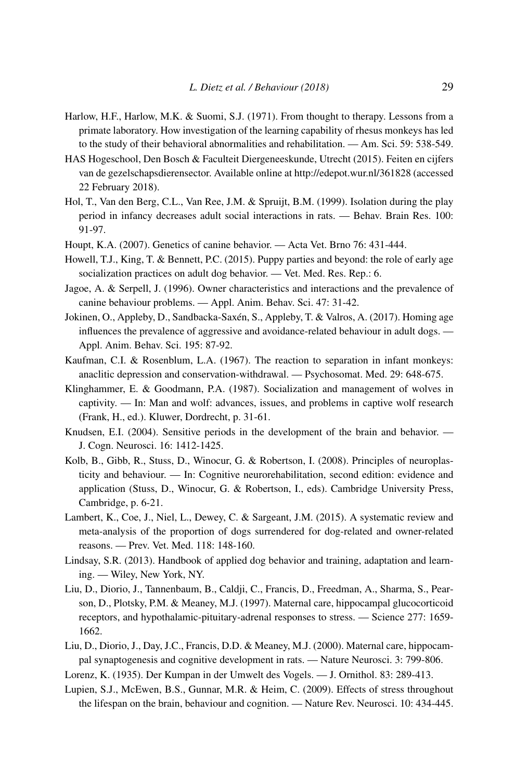- Harlow, H.F., Harlow, M.K. & Suomi, S.J. (1971). From thought to therapy. Lessons from a primate laboratory. How investigation of the learning capability of rhesus monkeys has led to the study of their behavioral abnormalities and rehabilitation. — Am. Sci. 59: 538-549.
- HAS Hogeschool, Den Bosch & Faculteit Diergeneeskunde, Utrecht (2015). Feiten en cijfers van de gezelschapsdierensector. Available online at<http://edepot.wur.nl/361828> (accessed 22 February 2018).
- Hol, T., Van den Berg, C.L., Van Ree, J.M. & Spruijt, B.M. (1999). Isolation during the play period in infancy decreases adult social interactions in rats. — Behav. Brain Res. 100: 91-97.
- Houpt, K.A. (2007). Genetics of canine behavior. Acta Vet. Brno 76: 431-444.
- Howell, T.J., King, T. & Bennett, P.C. (2015). Puppy parties and beyond: the role of early age socialization practices on adult dog behavior. — Vet. Med. Res. Rep.: 6.
- Jagoe, A. & Serpell, J. (1996). Owner characteristics and interactions and the prevalence of canine behaviour problems. — Appl. Anim. Behav. Sci. 47: 31-42.
- Jokinen, O., Appleby, D., Sandbacka-Saxén, S., Appleby, T. & Valros, A. (2017). Homing age influences the prevalence of aggressive and avoidance-related behaviour in adult dogs. — Appl. Anim. Behav. Sci. 195: 87-92.
- Kaufman, C.I. & Rosenblum, L.A. (1967). The reaction to separation in infant monkeys: anaclitic depression and conservation-withdrawal. — Psychosomat. Med. 29: 648-675.
- Klinghammer, E. & Goodmann, P.A. (1987). Socialization and management of wolves in captivity. — In: Man and wolf: advances, issues, and problems in captive wolf research (Frank, H., ed.). Kluwer, Dordrecht, p. 31-61.
- Knudsen, E.I. (2004). Sensitive periods in the development of the brain and behavior. J. Cogn. Neurosci. 16: 1412-1425.
- Kolb, B., Gibb, R., Stuss, D., Winocur, G. & Robertson, I. (2008). Principles of neuroplasticity and behaviour. — In: Cognitive neurorehabilitation, second edition: evidence and application (Stuss, D., Winocur, G. & Robertson, I., eds). Cambridge University Press, Cambridge, p. 6-21.
- Lambert, K., Coe, J., Niel, L., Dewey, C. & Sargeant, J.M. (2015). A systematic review and meta-analysis of the proportion of dogs surrendered for dog-related and owner-related reasons. — Prev. Vet. Med. 118: 148-160.
- Lindsay, S.R. (2013). Handbook of applied dog behavior and training, adaptation and learning. — Wiley, New York, NY.
- Liu, D., Diorio, J., Tannenbaum, B., Caldji, C., Francis, D., Freedman, A., Sharma, S., Pearson, D., Plotsky, P.M. & Meaney, M.J. (1997). Maternal care, hippocampal glucocorticoid receptors, and hypothalamic-pituitary-adrenal responses to stress. — Science 277: 1659- 1662.
- Liu, D., Diorio, J., Day, J.C., Francis, D.D. & Meaney, M.J. (2000). Maternal care, hippocampal synaptogenesis and cognitive development in rats. — Nature Neurosci. 3: 799-806.
- Lorenz, K. (1935). Der Kumpan in der Umwelt des Vogels. J. Ornithol. 83: 289-413.
- Lupien, S.J., McEwen, B.S., Gunnar, M.R. & Heim, C. (2009). Effects of stress throughout the lifespan on the brain, behaviour and cognition. — Nature Rev. Neurosci. 10: 434-445.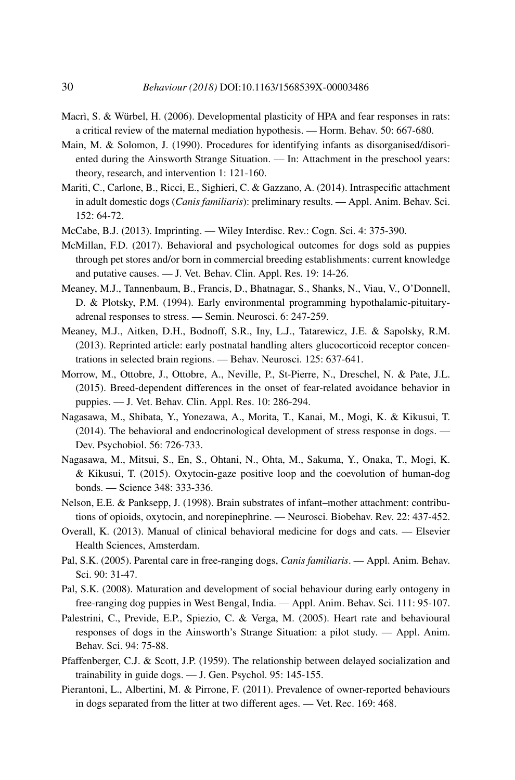- Macrì, S. & Würbel, H. (2006). Developmental plasticity of HPA and fear responses in rats: a critical review of the maternal mediation hypothesis. — Horm. Behav. 50: 667-680.
- Main, M. & Solomon, J. (1990). Procedures for identifying infants as disorganised/disoriented during the Ainsworth Strange Situation. — In: Attachment in the preschool years: theory, research, and intervention 1: 121-160.
- Mariti, C., Carlone, B., Ricci, E., Sighieri, C. & Gazzano, A. (2014). Intraspecific attachment in adult domestic dogs (*Canis familiaris*): preliminary results. — Appl. Anim. Behav. Sci. 152: 64-72.
- McCabe, B.J. (2013). Imprinting. Wiley Interdisc. Rev.: Cogn. Sci. 4: 375-390.
- McMillan, F.D. (2017). Behavioral and psychological outcomes for dogs sold as puppies through pet stores and/or born in commercial breeding establishments: current knowledge and putative causes. — J. Vet. Behav. Clin. Appl. Res. 19: 14-26.
- Meaney, M.J., Tannenbaum, B., Francis, D., Bhatnagar, S., Shanks, N., Viau, V., O'Donnell, D. & Plotsky, P.M. (1994). Early environmental programming hypothalamic-pituitaryadrenal responses to stress. — Semin. Neurosci. 6: 247-259.
- Meaney, M.J., Aitken, D.H., Bodnoff, S.R., Iny, L.J., Tatarewicz, J.E. & Sapolsky, R.M. (2013). Reprinted article: early postnatal handling alters glucocorticoid receptor concentrations in selected brain regions. — Behav. Neurosci. 125: 637-641.
- Morrow, M., Ottobre, J., Ottobre, A., Neville, P., St-Pierre, N., Dreschel, N. & Pate, J.L. (2015). Breed-dependent differences in the onset of fear-related avoidance behavior in puppies. — J. Vet. Behav. Clin. Appl. Res. 10: 286-294.
- Nagasawa, M., Shibata, Y., Yonezawa, A., Morita, T., Kanai, M., Mogi, K. & Kikusui, T. (2014). The behavioral and endocrinological development of stress response in dogs. — Dev. Psychobiol. 56: 726-733.
- Nagasawa, M., Mitsui, S., En, S., Ohtani, N., Ohta, M., Sakuma, Y., Onaka, T., Mogi, K. & Kikusui, T. (2015). Oxytocin-gaze positive loop and the coevolution of human-dog bonds. — Science 348: 333-336.
- Nelson, E.E. & Panksepp, J. (1998). Brain substrates of infant–mother attachment: contributions of opioids, oxytocin, and norepinephrine. — Neurosci. Biobehav. Rev. 22: 437-452.
- Overall, K. (2013). Manual of clinical behavioral medicine for dogs and cats. Elsevier Health Sciences, Amsterdam.
- Pal, S.K. (2005). Parental care in free-ranging dogs, *Canis familiaris*. Appl. Anim. Behav. Sci. 90: 31-47.
- Pal, S.K. (2008). Maturation and development of social behaviour during early ontogeny in free-ranging dog puppies in West Bengal, India. — Appl. Anim. Behav. Sci. 111: 95-107.
- Palestrini, C., Previde, E.P., Spiezio, C. & Verga, M. (2005). Heart rate and behavioural responses of dogs in the Ainsworth's Strange Situation: a pilot study. — Appl. Anim. Behav. Sci. 94: 75-88.
- Pfaffenberger, C.J. & Scott, J.P. (1959). The relationship between delayed socialization and trainability in guide dogs. — J. Gen. Psychol. 95: 145-155.
- Pierantoni, L., Albertini, M. & Pirrone, F. (2011). Prevalence of owner-reported behaviours in dogs separated from the litter at two different ages. — Vet. Rec. 169: 468.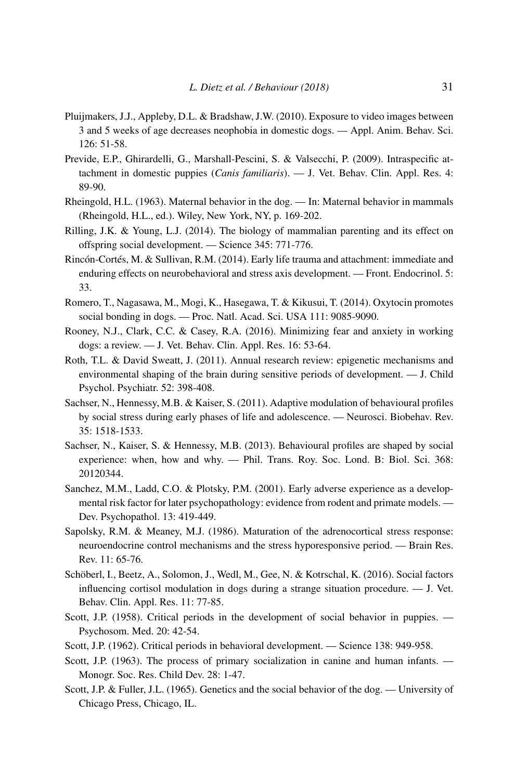- Pluijmakers, J.J., Appleby, D.L. & Bradshaw, J.W. (2010). Exposure to video images between 3 and 5 weeks of age decreases neophobia in domestic dogs. — Appl. Anim. Behav. Sci. 126: 51-58.
- Previde, E.P., Ghirardelli, G., Marshall-Pescini, S. & Valsecchi, P. (2009). Intraspecific attachment in domestic puppies (*Canis familiaris*). — J. Vet. Behav. Clin. Appl. Res. 4: 89-90.
- Rheingold, H.L. (1963). Maternal behavior in the dog. In: Maternal behavior in mammals (Rheingold, H.L., ed.). Wiley, New York, NY, p. 169-202.
- Rilling, J.K. & Young, L.J. (2014). The biology of mammalian parenting and its effect on offspring social development. — Science 345: 771-776.
- Rincón-Cortés, M. & Sullivan, R.M. (2014). Early life trauma and attachment: immediate and enduring effects on neurobehavioral and stress axis development. — Front. Endocrinol. 5: 33.
- Romero, T., Nagasawa, M., Mogi, K., Hasegawa, T. & Kikusui, T. (2014). Oxytocin promotes social bonding in dogs. — Proc. Natl. Acad. Sci. USA 111: 9085-9090.
- Rooney, N.J., Clark, C.C. & Casey, R.A. (2016). Minimizing fear and anxiety in working dogs: a review. — J. Vet. Behav. Clin. Appl. Res. 16: 53-64.
- Roth, T.L. & David Sweatt, J. (2011). Annual research review: epigenetic mechanisms and environmental shaping of the brain during sensitive periods of development. — J. Child Psychol. Psychiatr. 52: 398-408.
- Sachser, N., Hennessy, M.B. & Kaiser, S. (2011). Adaptive modulation of behavioural profiles by social stress during early phases of life and adolescence. — Neurosci. Biobehav. Rev. 35: 1518-1533.
- Sachser, N., Kaiser, S. & Hennessy, M.B. (2013). Behavioural profiles are shaped by social experience: when, how and why. — Phil. Trans. Roy. Soc. Lond. B: Biol. Sci. 368: 20120344.
- Sanchez, M.M., Ladd, C.O. & Plotsky, P.M. (2001). Early adverse experience as a developmental risk factor for later psychopathology: evidence from rodent and primate models. — Dev. Psychopathol. 13: 419-449.
- Sapolsky, R.M. & Meaney, M.J. (1986). Maturation of the adrenocortical stress response: neuroendocrine control mechanisms and the stress hyporesponsive period. — Brain Res. Rev. 11: 65-76.
- Schöberl, I., Beetz, A., Solomon, J., Wedl, M., Gee, N. & Kotrschal, K. (2016). Social factors influencing cortisol modulation in dogs during a strange situation procedure. — J. Vet. Behav. Clin. Appl. Res. 11: 77-85.
- Scott, J.P. (1958). Critical periods in the development of social behavior in puppies. Psychosom. Med. 20: 42-54.
- Scott, J.P. (1962). Critical periods in behavioral development. Science 138: 949-958.
- Scott, J.P. (1963). The process of primary socialization in canine and human infants. Monogr. Soc. Res. Child Dev. 28: 1-47.
- Scott, J.P. & Fuller, J.L. (1965). Genetics and the social behavior of the dog. University of Chicago Press, Chicago, IL.